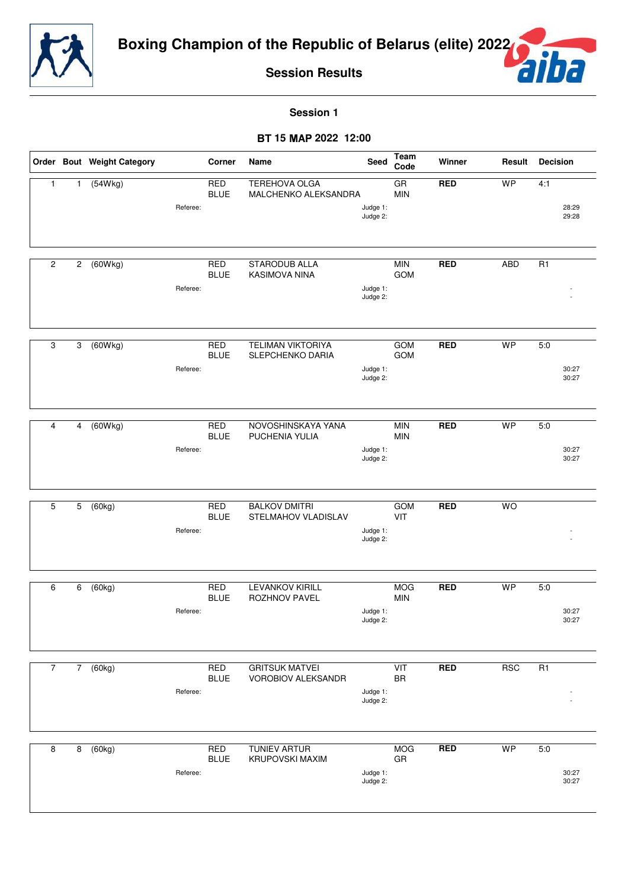



**Session 1**

- **15 2022 12:00**

|                |                | Order Bout Weight Category |          | Corner                    | Name                                         | Seed                 | Team<br>Code                         | Winner     | Result     | <b>Decision</b> |                |
|----------------|----------------|----------------------------|----------|---------------------------|----------------------------------------------|----------------------|--------------------------------------|------------|------------|-----------------|----------------|
| 1              | $\mathbf{1}$   | (54Wkg)                    | Referee: | <b>RED</b><br><b>BLUE</b> | TEREHOVA OLGA<br>MALCHENKO ALEKSANDRA        | Judge 1:<br>Judge 2: | $\overline{\text{GR}}$<br><b>MIN</b> | <b>RED</b> | <b>WP</b>  | 4:1             | 28:29<br>29:28 |
| $\overline{c}$ | $\overline{c}$ | (60Wkg)                    | Referee: | <b>RED</b><br><b>BLUE</b> | <b>STARODUB ALLA</b><br><b>KASIMOVA NINA</b> | Judge 1:<br>Judge 2: | <b>MIN</b><br>GOM                    | <b>RED</b> | <b>ABD</b> | $\overline{R1}$ |                |
| 3              | 3              | (60Wkg)                    | Referee: | <b>RED</b><br><b>BLUE</b> | TELIMAN VIKTORIYA<br>SLEPCHENKO DARIA        | Judge 1:<br>Judge 2: | <b>GOM</b><br><b>GOM</b>             | <b>RED</b> | <b>WP</b>  | 5:0             | 30:27<br>30:27 |
| 4              | 4              | (60Wkg)                    | Referee: | <b>RED</b><br><b>BLUE</b> | NOVOSHINSKAYA YANA<br>PUCHENIA YULIA         | Judge 1:<br>Judge 2: | <b>MIN</b><br><b>MIN</b>             | <b>RED</b> | <b>WP</b>  | 5:0             | 30:27<br>30:27 |
| 5              | 5              | (60kg)                     | Referee: | <b>RED</b><br><b>BLUE</b> | <b>BALKOV DMITRI</b><br>STELMAHOV VLADISLAV  | Judge 1:<br>Judge 2: | <b>GOM</b><br>VIT                    | <b>RED</b> | <b>WO</b>  |                 |                |
| 6              | 6              | (60kg)                     | Referee: | <b>RED</b><br><b>BLUE</b> | <b>LEVANKOV KIRILL</b><br>ROZHNOV PAVEL      | Judge 1:<br>Judge 2: | <b>MOG</b><br><b>MIN</b>             | <b>RED</b> | <b>WP</b>  | 5:0             | 30:27<br>30:27 |
| $\overline{7}$ | 7 <sup>7</sup> | (60kg)                     | Referee: | <b>RED</b><br><b>BLUE</b> | <b>GRITSUK MATVEI</b><br>VOROBIOV ALEKSANDR  | Judge 1:<br>Judge 2: | VIT<br><b>BR</b>                     | <b>RED</b> | <b>RSC</b> | R <sub>1</sub>  |                |
| 8              | 8              | (60kg)                     | Referee: | RED<br><b>BLUE</b>        | <b>TUNIEV ARTUR</b><br>KRUPOVSKI MAXIM       | Judge 1:<br>Judge 2: | <b>MOG</b><br>GR                     | <b>RED</b> | <b>WP</b>  | 5:0             | 30:27<br>30:27 |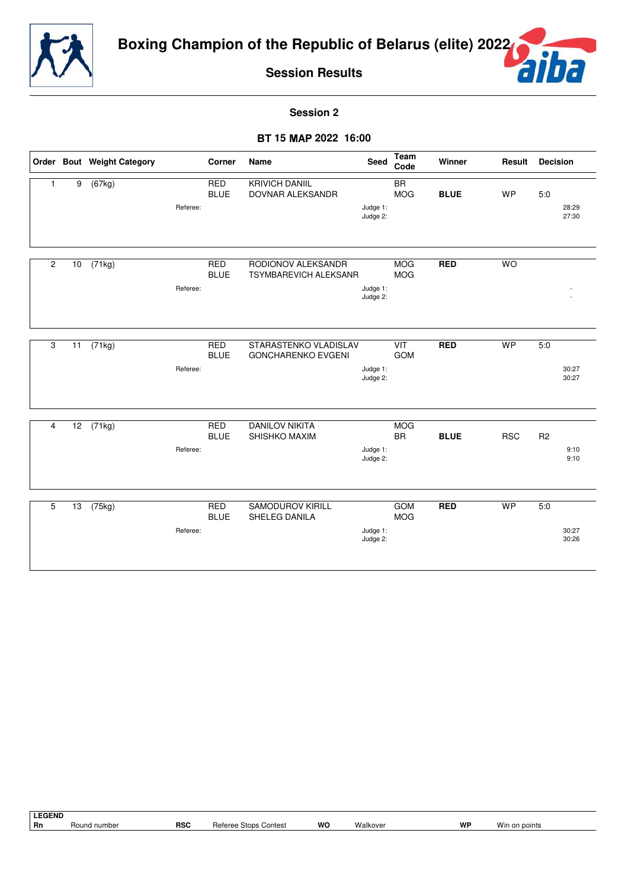



**Session 2**

### - **15 2022 16:00**

|                |    | Order Bout Weight Category |          | Corner                    | Name                                               | <b>Seed</b>          | <b>Team</b><br>Code           | Winner      | Result     | <b>Decision</b>                |
|----------------|----|----------------------------|----------|---------------------------|----------------------------------------------------|----------------------|-------------------------------|-------------|------------|--------------------------------|
| $\mathbf{1}$   | 9  | (67kg)                     | Referee: | <b>RED</b><br><b>BLUE</b> | <b>KRIVICH DANIIL</b><br>DOVNAR ALEKSANDR          | Judge 1:<br>Judge 2: | $\overline{BR}$<br><b>MOG</b> | <b>BLUE</b> | <b>WP</b>  | 5:0<br>28:29<br>27:30          |
| $\overline{2}$ | 10 | $\sqrt{(71 \text{ kg})}$   | Referee: | <b>RED</b><br><b>BLUE</b> | RODIONOV ALEKSANDR<br><b>TSYMBAREVICH ALEKSANR</b> | Judge 1:<br>Judge 2: | <b>MOG</b><br><b>MOG</b>      | <b>RED</b>  | <b>WO</b>  |                                |
| 3              | 11 | (71kg)                     | Referee: | <b>RED</b><br><b>BLUE</b> | STARASTENKO VLADISLAV<br><b>GONCHARENKO EVGENI</b> | Judge 1:<br>Judge 2: | VIT<br>GOM                    | <b>RED</b>  | <b>WP</b>  | 5:0<br>30:27<br>30:27          |
| 4              | 12 | (71kg)                     | Referee: | <b>RED</b><br><b>BLUE</b> | <b>DANILOV NIKITA</b><br>SHISHKO MAXIM             | Judge 1:<br>Judge 2: | <b>MOG</b><br><b>BR</b>       | <b>BLUE</b> | <b>RSC</b> | R <sub>2</sub><br>9:10<br>9:10 |
| 5              | 13 | $\overline{(75kg)}$        | Referee: | <b>RED</b><br><b>BLUE</b> | <b>SAMODUROV KIRILL</b><br>SHELEG DANILA           | Judge 1:<br>Judge 2: | <b>GOM</b><br><b>MOG</b>      | <b>RED</b>  | <b>WP</b>  | 5:0<br>30:27<br>30:26          |

LEGEND<br>Rn **Rn** Round number **RSC** Referee Stops Contest **WO** Walkover **WP** Win on points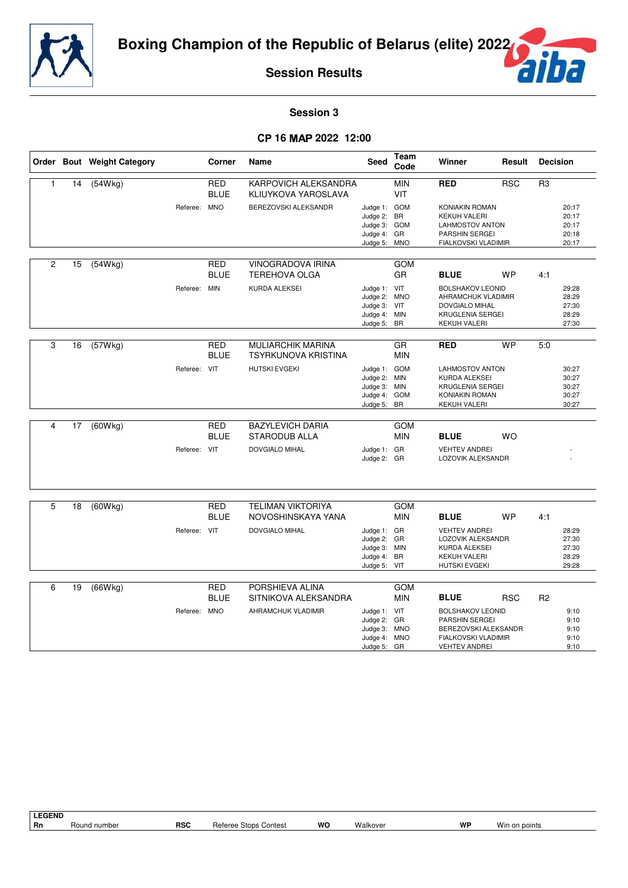

ŕ

**Session Results**

## **Session 3**

#### - **16** - **2022 12:00**

|                |    | Order Bout Weight Category |              | Corner                    | <b>Name</b>                                      | Seed                                                                        | <b>Team</b><br>Code      | Winner                                                                                                                  | Result     | <b>Decision</b> |                                           |
|----------------|----|----------------------------|--------------|---------------------------|--------------------------------------------------|-----------------------------------------------------------------------------|--------------------------|-------------------------------------------------------------------------------------------------------------------------|------------|-----------------|-------------------------------------------|
| $\mathbf{1}$   | 14 | (54Wkg)                    |              | <b>RED</b><br><b>BLUE</b> | KARPOVICH ALEKSANDRA<br>KLIUYKOVA YAROSLAVA      |                                                                             | <b>MIN</b><br>VIT        | <b>RED</b>                                                                                                              | <b>RSC</b> | R <sub>3</sub>  |                                           |
|                |    |                            | Referee: MNO |                           | BEREZOVSKI ALEKSANDR                             | Judge 1: GOM<br>Judge 2:<br>Judge 3: GOM<br>Judge 4: GR<br>Judge 5: MNO     | <b>BR</b>                | <b>KONIAKIN ROMAN</b><br><b>KEKUH VALERI</b><br><b>LAHMOSTOV ANTON</b><br>PARSHIN SERGEI<br>FIALKOVSKI VLADIMIR         |            |                 | 20:17<br>20:17<br>20:17<br>20:18<br>20:17 |
| $\overline{c}$ | 15 | (54Wkg)                    |              | <b>RED</b><br><b>BLUE</b> | <b>VINOGRADOVA IRINA</b><br><b>TEREHOVA OLGA</b> |                                                                             | <b>GOM</b><br>GR         | <b>BLUE</b>                                                                                                             | <b>WP</b>  | 4:1             |                                           |
|                |    |                            | Referee: MIN |                           | KURDA ALEKSEI                                    | Judge 1: VIT<br>Judge 2: MNO<br>Judge 3: VIT<br>Judge 4: MIN<br>Judge 5: BR |                          | <b>BOLSHAKOV LEONID</b><br>AHRAMCHUK VLADIMIR<br><b>DOVGIALO MIHAL</b><br>KRUGLENIA SERGEI<br><b>KEKUH VALERI</b>       |            |                 | 29:28<br>28:29<br>27:30<br>28:29<br>27:30 |
| 3              | 16 | (57Wkg)                    |              | <b>RED</b><br><b>BLUE</b> | <b>MULIARCHIK MARINA</b><br>TSYRKUNOVA KRISTINA  |                                                                             | GR<br><b>MIN</b>         | <b>RED</b>                                                                                                              | <b>WP</b>  | 5:0             |                                           |
|                |    |                            | Referee: VIT |                           | <b>HUTSKI EVGEKI</b>                             | Judge 1: GOM<br>Judge 2: MIN<br>Judge 3:<br>Judge 4: GOM<br>Judge 5:        | <b>MIN</b><br><b>BR</b>  | <b>LAHMOSTOV ANTON</b><br>KURDA ALEKSEI<br>KRUGLENIA SERGEI<br><b>KONIAKIN ROMAN</b><br><b>KEKUH VALERI</b>             |            |                 | 30:27<br>30:27<br>30:27<br>30:27<br>30:27 |
| 4              | 17 | (60Wkg)                    |              | RED<br><b>BLUE</b>        | <b>BAZYLEVICH DARIA</b><br><b>STARODUB ALLA</b>  |                                                                             | <b>GOM</b><br><b>MIN</b> | <b>BLUE</b>                                                                                                             | <b>WO</b>  |                 |                                           |
|                |    |                            | Referee: VIT |                           | DOVGIALO MIHAL                                   | Judge 1: GR<br>Judge 2: GR                                                  |                          | <b>VEHTEV ANDREI</b><br>LOZOVIK ALEKSANDR                                                                               |            |                 |                                           |
| 5              | 18 | (60Wkg)                    |              | <b>RED</b><br><b>BLUE</b> | <b>TELIMAN VIKTORIYA</b><br>NOVOSHINSKAYA YANA   |                                                                             | <b>GOM</b><br><b>MIN</b> | <b>BLUE</b>                                                                                                             | <b>WP</b>  | 4:1             |                                           |
|                |    |                            | Referee: VIT |                           | <b>DOVGIALO MIHAL</b>                            | Judge 1: GR<br>Judge 2: GR<br>Judge 3: MIN<br>Judge 4:<br>Judge 5: VIT      | <b>BR</b>                | <b>VEHTEV ANDREI</b><br>LOZOVIK ALEKSANDR<br>KURDA ALEKSEI<br><b>KEKUH VALERI</b><br><b>HUTSKI EVGEKI</b>               |            |                 | 28:29<br>27:30<br>27:30<br>28:29<br>29:28 |
| 6              | 19 | (66Wkg)                    |              | <b>RED</b><br><b>BLUE</b> | PORSHIEVA ALINA<br>SITNIKOVA ALEKSANDRA          |                                                                             | <b>GOM</b><br><b>MIN</b> | <b>BLUE</b>                                                                                                             | <b>RSC</b> | R <sub>2</sub>  |                                           |
|                |    |                            | Referee: MNO |                           | AHRAMCHUK VLADIMIR                               | Judge 1: VIT<br>Judge 2: GR<br>Judge 3: MNO<br>Judge 4: MNO<br>Judge 5: GR  |                          | <b>BOLSHAKOV LEONID</b><br><b>PARSHIN SERGEI</b><br>BEREZOVSKI ALEKSANDR<br>FIALKOVSKI VLADIMIR<br><b>VEHTEV ANDREI</b> |            |                 | 9:10<br>9:10<br>9:10<br>9:10<br>9:10      |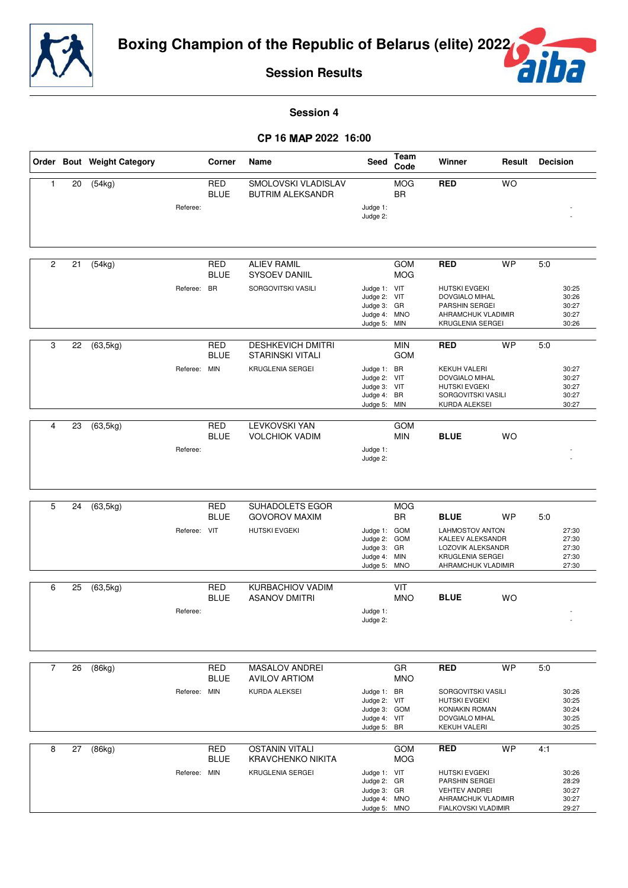



**Session 4**

#### - **16** - **2022 16:00**

|              |    | Order Bout Weight Category |              | Corner                    | Name                                                | Seed                                        | Team<br>Code             | Winner                                                   | Result    | <b>Decision</b> |                         |
|--------------|----|----------------------------|--------------|---------------------------|-----------------------------------------------------|---------------------------------------------|--------------------------|----------------------------------------------------------|-----------|-----------------|-------------------------|
| $\mathbf{1}$ | 20 | (54kg)                     |              | <b>RED</b><br><b>BLUE</b> | SMOLOVSKI VLADISLAV<br><b>BUTRIM ALEKSANDR</b>      |                                             | <b>MOG</b><br><b>BR</b>  | <b>RED</b>                                               | <b>WO</b> |                 |                         |
|              |    |                            | Referee:     |                           |                                                     | Judge 1:<br>Judge 2:                        |                          |                                                          |           |                 |                         |
|              |    |                            |              |                           |                                                     |                                             |                          |                                                          |           |                 |                         |
| 2            | 21 | (54kg)                     |              | <b>RED</b><br><b>BLUE</b> | <b>ALIEV RAMIL</b><br>SYSOEV DANIIL                 |                                             | <b>GOM</b><br><b>MOG</b> | <b>RED</b>                                               | <b>WP</b> | 5:0             |                         |
|              |    |                            | Referee: BR  |                           | SORGOVITSKI VASILI                                  | Judge 1: VIT<br>Judge 2: VIT<br>Judge 3: GR |                          | <b>HUTSKI EVGEKI</b><br>DOVGIALO MIHAL<br>PARSHIN SERGEI |           |                 | 30:25<br>30:26<br>30:27 |
|              |    |                            |              |                           |                                                     | Judge 4: MNO<br>Judge 5: MIN                |                          | AHRAMCHUK VLADIMIR<br>KRUGLENIA SERGEI                   |           |                 | 30:27<br>30:26          |
|              |    |                            |              |                           |                                                     |                                             |                          |                                                          |           |                 |                         |
| 3            | 22 | (63, 5kg)                  |              | RED<br><b>BLUE</b>        | <b>DESHKEVICH DMITRI</b><br><b>STARINSKI VITALI</b> |                                             | <b>MIN</b><br><b>GOM</b> | <b>RED</b>                                               | <b>WP</b> | 5:0             |                         |
|              |    |                            | Referee: MIN |                           | <b>KRUGLENIA SERGEI</b>                             | Judge 1: BR                                 |                          | <b>KEKUH VALERI</b>                                      |           |                 | 30:27                   |
|              |    |                            |              |                           |                                                     | Judge 2: VIT<br>Judge 3: VIT                |                          | DOVGIALO MIHAL<br>HUTSKI EVGEKI                          |           |                 | 30:27<br>30:27          |
|              |    |                            |              |                           |                                                     | Judge 4: BR<br>Judge 5: MIN                 |                          | SORGOVITSKI VASILI<br>KURDA ALEKSEI                      |           |                 | 30:27<br>30:27          |
| 4            |    |                            |              |                           | <b>LEVKOVSKI YAN</b>                                |                                             | <b>GOM</b>               |                                                          |           |                 |                         |
|              | 23 | (63, 5kg)                  |              | RED<br><b>BLUE</b>        | <b>VOLCHIOK VADIM</b>                               |                                             | <b>MIN</b>               | <b>BLUE</b>                                              | <b>WO</b> |                 |                         |
|              |    |                            | Referee:     |                           |                                                     | Judge 1:<br>Judge 2:                        |                          |                                                          |           |                 |                         |
|              |    |                            |              |                           |                                                     |                                             |                          |                                                          |           |                 |                         |
|              |    |                            |              |                           |                                                     |                                             |                          |                                                          |           |                 |                         |
| 5            | 24 | (63, 5kg)                  |              | <b>RED</b><br><b>BLUE</b> | SUHADOLETS EGOR<br><b>GOVOROV MAXIM</b>             |                                             | <b>MOG</b><br><b>BR</b>  | <b>BLUE</b>                                              | <b>WP</b> | 5:0             |                         |
|              |    |                            | Referee: VIT |                           | <b>HUTSKI EVGEKI</b>                                | Judge 1: GOM<br>Judge 2:                    | GOM                      | <b>LAHMOSTOV ANTON</b><br>KALEEV ALEKSANDR               |           |                 | 27:30<br>27:30          |
|              |    |                            |              |                           |                                                     | Judge 3: GR                                 |                          | LOZOVIK ALEKSANDR                                        |           |                 | 27:30                   |
|              |    |                            |              |                           |                                                     | Judge 4: MIN<br>Judge 5: MNO                |                          | KRUGLENIA SERGEI<br>AHRAMCHUK VLADIMIR                   |           |                 | 27:30<br>27:30          |
| 6            | 25 | (63, 5kg)                  |              | <b>RED</b>                | KURBACHIOV VADIM                                    |                                             | VIT                      |                                                          |           |                 |                         |
|              |    |                            | Referee:     | <b>BLUE</b>               | <b>ASANOV DMITRI</b>                                | Judge 1:                                    | <b>MNO</b>               | <b>BLUE</b>                                              | <b>WO</b> |                 |                         |
|              |    |                            |              |                           |                                                     | Judge 2:                                    |                          |                                                          |           |                 |                         |
|              |    |                            |              |                           |                                                     |                                             |                          |                                                          |           |                 |                         |
| 7            | 26 | (86kg)                     |              | RED<br><b>BLUE</b>        | <b>MASALOV ANDREI</b><br><b>AVILOV ARTIOM</b>       |                                             | GR<br><b>MNO</b>         | <b>RED</b>                                               | <b>WP</b> | 5:0             |                         |
|              |    |                            | Referee: MIN |                           | KURDA ALEKSEI                                       | Judge 1: BR<br>Judge 2: VIT                 |                          | SORGOVITSKI VASILI<br><b>HUTSKI EVGEKI</b>               |           |                 | 30:26<br>30:25          |
|              |    |                            |              |                           |                                                     | Judge 3: GOM                                |                          | KONIAKIN ROMAN                                           |           |                 | 30:24                   |
|              |    |                            |              |                           |                                                     | Judge 4: VIT<br>Judge 5: BR                 |                          | DOVGIALO MIHAL<br><b>KEKUH VALERI</b>                    |           |                 | 30:25<br>30:25          |
| 8            | 27 | (86kg)                     |              | RED                       | <b>OSTANIN VITALI</b>                               |                                             | <b>GOM</b>               | <b>RED</b>                                               | <b>WP</b> | 4:1             |                         |
|              |    |                            |              | <b>BLUE</b>               | <b>KRAVCHENKO NIKITA</b>                            |                                             | <b>MOG</b>               |                                                          |           |                 |                         |
|              |    |                            | Referee: MIN |                           | KRUGLENIA SERGEI                                    | Judge 1: VIT<br>Judge 2: GR                 |                          | <b>HUTSKI EVGEKI</b><br>PARSHIN SERGEI                   |           |                 | 30:26<br>28:29          |
|              |    |                            |              |                           |                                                     | Judge 3: GR                                 |                          | <b>VEHTEV ANDREI</b>                                     |           |                 | 30:27                   |
|              |    |                            |              |                           |                                                     | Judge 4: MNO<br>Judge 5: MNO                |                          | AHRAMCHUK VLADIMIR<br>FIALKOVSKI VLADIMIR                |           |                 | 30:27<br>29:27          |
|              |    |                            |              |                           |                                                     |                                             |                          |                                                          |           |                 |                         |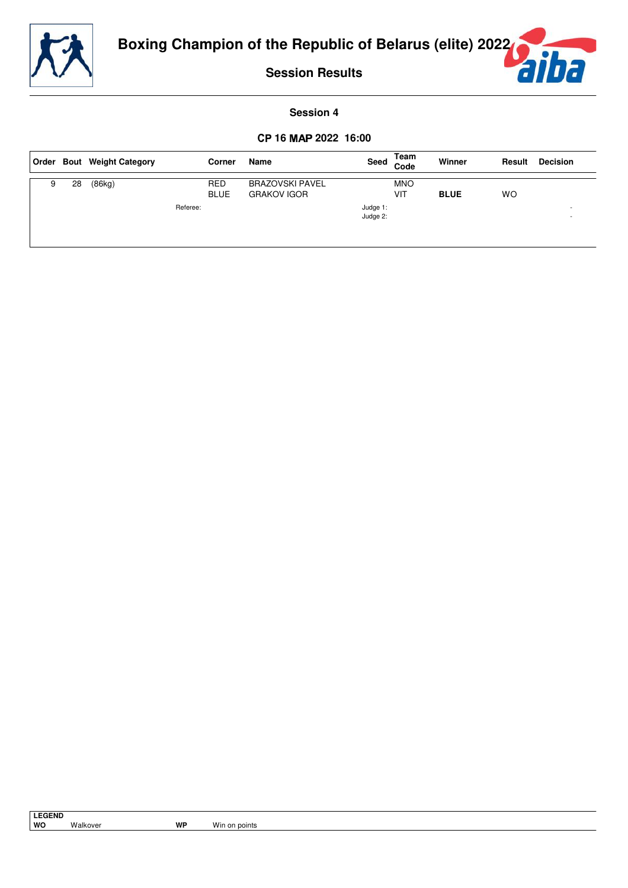

a

**Session Results**

### **Session 4**

### - **16** - **2022 16:00**

|   |    | Order Bout Weight Category |          | Corner                    | Name                                         | Seed                 | Team<br>Code      | Winner      | Result | <b>Decision</b>                      |
|---|----|----------------------------|----------|---------------------------|----------------------------------------------|----------------------|-------------------|-------------|--------|--------------------------------------|
| 9 | 28 | (86kg)                     |          | <b>RED</b><br><b>BLUE</b> | <b>BRAZOVSKI PAVEL</b><br><b>GRAKOV IGOR</b> |                      | <b>MNO</b><br>VIT | <b>BLUE</b> | WO     |                                      |
|   |    |                            | Referee: |                           |                                              | Judge 1:<br>Judge 2: |                   |             |        | <b>.</b><br>$\overline{\phantom{a}}$ |
|   |    |                            |          |                           |                                              |                      |                   |             |        |                                      |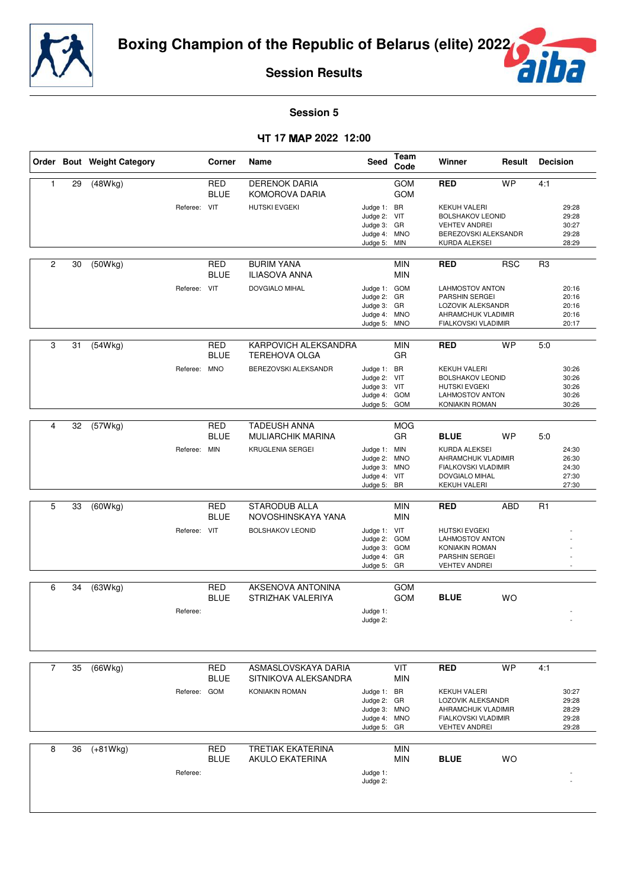



**Session 5**

#### - **17 2022 12:00**

|                |    | Order Bout Weight Category |              | Corner                                  | Name                                                                  | Seed                                                                       | Team<br>Code                    | Winner                                                                                                                             | Result     | <b>Decision</b>                                  |
|----------------|----|----------------------------|--------------|-----------------------------------------|-----------------------------------------------------------------------|----------------------------------------------------------------------------|---------------------------------|------------------------------------------------------------------------------------------------------------------------------------|------------|--------------------------------------------------|
| $\mathbf{1}$   | 29 | (48Wkg)                    | Referee: VIT | <b>RED</b><br><b>BLUE</b>               | <b>DERENOK DARIA</b><br>KOMOROVA DARIA<br><b>HUTSKI EVGEKI</b>        | Judge 1: BR<br>Judge 2: VIT<br>Judge 3: GR<br>Judge 4: MNO                 | GOM<br>GOM                      | <b>RED</b><br><b>KEKUH VALERI</b><br><b>BOLSHAKOV LEONID</b><br><b>VEHTEV ANDREI</b><br>BEREZOVSKI ALEKSANDR                       | <b>WP</b>  | 4:1<br>29:28<br>29:28<br>30:27<br>29:28          |
| $\overline{2}$ | 30 | (50Wkg)                    | Referee: VIT | <b>RED</b><br><b>BLUE</b>               | <b>BURIM YANA</b><br>ILIASOVA ANNA<br><b>DOVGIALO MIHAL</b>           | Judge 5:<br>Judge 1: GOM<br>Judge 2: GR                                    | MIN<br><b>MIN</b><br><b>MIN</b> | KURDA ALEKSEI<br><b>RED</b><br><b>LAHMOSTOV ANTON</b><br>PARSHIN SERGEI                                                            | <b>RSC</b> | 28:29<br>R <sub>3</sub><br>20:16<br>20:16        |
| 3              | 31 |                            |              | <b>RED</b>                              | KARPOVICH ALEKSANDRA                                                  | Judge 3: GR<br>Judge 4: MNO<br>Judge 5: MNO                                | <b>MIN</b>                      | LOZOVIK ALEKSANDR<br>AHRAMCHUK VLADIMIR<br>FIALKOVSKI VLADIMIR<br><b>RED</b>                                                       | <b>WP</b>  | 20:16<br>20:16<br>20:17<br>5:0                   |
|                |    | (54Wkg)                    | Referee:     | <b>BLUE</b><br><b>MNO</b>               | <b>TEREHOVA OLGA</b><br>BEREZOVSKI ALEKSANDR                          | Judge 1: BR<br>Judge 2: VIT<br>Judge 3: VIT<br>Judge 4: GOM<br>Judge 5:    | <b>GR</b><br>GOM                | <b>KEKUH VALERI</b><br><b>BOLSHAKOV LEONID</b><br><b>HUTSKI EVGEKI</b><br><b>LAHMOSTOV ANTON</b><br>KONIAKIN ROMAN                 |            | 30:26<br>30:26<br>30:26<br>30:26<br>30:26        |
| 4              | 32 | (57Wkg)                    | Referee: MIN | <b>RED</b><br><b>BLUE</b>               | <b>TADEUSH ANNA</b><br><b>MULIARCHIK MARINA</b><br>KRUGLENIA SERGEI   | Judge 1: MIN<br>Judge 2:<br>Judge 3: MNO<br>Judge 4: VIT<br>Judge 5: BR    | <b>MOG</b><br>GR<br><b>MNO</b>  | <b>BLUE</b><br>KURDA ALEKSEI<br>AHRAMCHUK VLADIMIR<br>FIALKOVSKI VLADIMIR<br>DOVGIALO MIHAL<br><b>KEKUH VALERI</b>                 | <b>WP</b>  | 5:0<br>24:30<br>26:30<br>24:30<br>27:30<br>27:30 |
| 5              | 33 | (60Wkg)                    | Referee: VIT | <b>RED</b><br><b>BLUE</b>               | <b>STARODUB ALLA</b><br>NOVOSHINSKAYA YANA<br><b>BOLSHAKOV LEONID</b> | Judge 1: VIT<br>Judge 2: GOM<br>Judge 3: GOM<br>Judge 4: GR<br>Judge 5: GR | <b>MIN</b><br><b>MIN</b>        | <b>RED</b><br><b>HUTSKI EVGEKI</b><br><b>LAHMOSTOV ANTON</b><br>KONIAKIN ROMAN<br>PARSHIN SERGEI<br><b>VEHTEV ANDREI</b>           | <b>ABD</b> | R <sub>1</sub><br>$\overline{a}$                 |
| 6              | 34 | (63Wkg)                    | Referee:     | <b>RED</b><br><b>BLUE</b>               | AKSENOVA ANTONINA<br>STRIZHAK VALERIYA                                | Judge 1:<br>Judge 2:                                                       | GOM<br><b>GOM</b>               | <b>BLUE</b>                                                                                                                        | <b>WO</b>  |                                                  |
| $\overline{7}$ | 35 | (66Wkg)                    | Referee:     | <b>RED</b><br><b>BLUE</b><br><b>GOM</b> | ASMASLOVSKAYA DARIA<br>SITNIKOVA ALEKSANDRA<br>KONIAKIN ROMAN         | Judge 1: BR<br>Judge 2: GR<br>Judge 3: MNO<br>Judge 4: MNO<br>Judge 5: GR  | VIT<br><b>MIN</b>               | <b>RED</b><br><b>KEKUH VALERI</b><br>LOZOVIK ALEKSANDR<br>AHRAMCHUK VLADIMIR<br><b>FIALKOVSKI VLADIMIR</b><br><b>VEHTEV ANDREI</b> | <b>WP</b>  | 4:1<br>30:27<br>29:28<br>28:29<br>29:28<br>29:28 |
| 8              | 36 | $(+81Wkg)$                 | Referee:     | <b>RED</b><br><b>BLUE</b>               | TRETIAK EKATERINA<br><b>AKULO EKATERINA</b>                           | Judge 1:<br>Judge 2:                                                       | <b>MIN</b><br><b>MIN</b>        | <b>BLUE</b>                                                                                                                        | <b>WO</b>  |                                                  |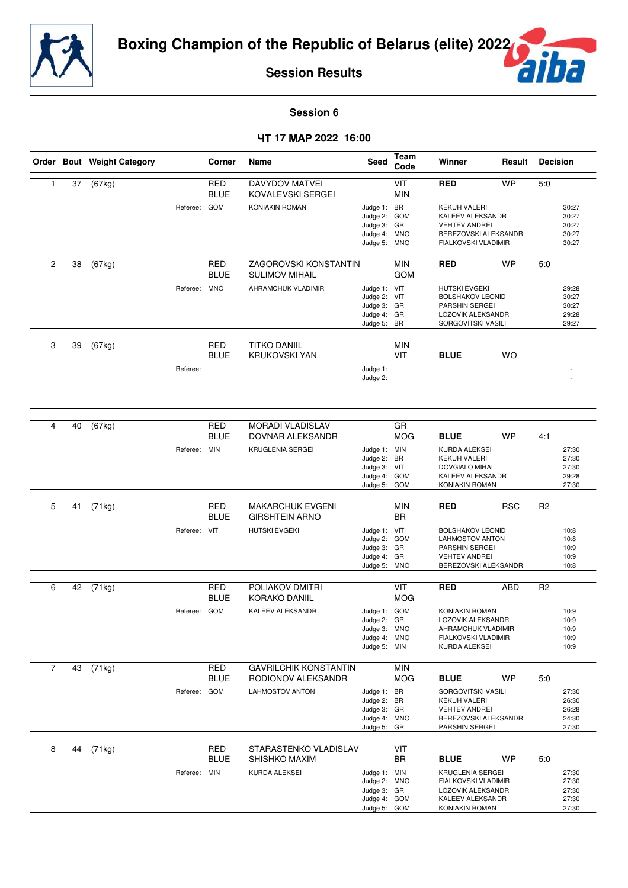



**Session 6**

### - **17 2022 16:00**

|                |    | Order Bout Weight Category |              | Corner                    | Name                                                  | <b>Seed</b>                                                                 | Team<br>Code             | Winner                                                                                                              | Result     | <b>Decision</b> |                                           |
|----------------|----|----------------------------|--------------|---------------------------|-------------------------------------------------------|-----------------------------------------------------------------------------|--------------------------|---------------------------------------------------------------------------------------------------------------------|------------|-----------------|-------------------------------------------|
| 1              | 37 | (67kg)                     |              | <b>RED</b><br><b>BLUE</b> | <b>DAVYDOV MATVEI</b><br>KOVALEVSKI SERGEI            |                                                                             | VIT<br><b>MIN</b>        | <b>RED</b>                                                                                                          | <b>WP</b>  | 5:0             |                                           |
|                |    |                            | Referee:     | <b>GOM</b>                | <b>KONIAKIN ROMAN</b>                                 | Judge 1: BR<br>Judge 2: GOM<br>Judge 3: GR<br>Judge 4: MNO<br>Judge 5:      | <b>MNO</b>               | KEKUH VALERI<br>KALEEV ALEKSANDR<br><b>VEHTEV ANDREI</b><br>BEREZOVSKI ALEKSANDR<br>FIALKOVSKI VLADIMIR             |            |                 | 30:27<br>30:27<br>30:27<br>30:27<br>30:27 |
| $\overline{2}$ | 38 | (67kg)                     |              | <b>RED</b><br><b>BLUE</b> | <b>ZAGOROVSKI KONSTANTIN</b><br><b>SULIMOV MIHAIL</b> |                                                                             | <b>MIN</b><br><b>GOM</b> | <b>RED</b>                                                                                                          | <b>WP</b>  | 5:0             |                                           |
|                |    |                            | Referee:     | <b>MNO</b>                | AHRAMCHUK VLADIMIR                                    | Judge 1: VIT<br>Judge 2: VIT<br>Judge 3: GR<br>Judge 4: GR<br>Judge 5: BR   |                          | <b>HUTSKI EVGEKI</b><br><b>BOLSHAKOV LEONID</b><br><b>PARSHIN SERGEI</b><br>LOZOVIK ALEKSANDR<br>SORGOVITSKI VASILI |            |                 | 29:28<br>30:27<br>30:27<br>29:28<br>29:27 |
| 3              | 39 | (67kg)                     |              | <b>RED</b>                | <b>TITKO DANIIL</b>                                   |                                                                             | <b>MIN</b>               |                                                                                                                     |            |                 |                                           |
|                |    |                            |              | <b>BLUE</b>               | <b>KRUKOVSKI YAN</b>                                  |                                                                             | VIT                      | <b>BLUE</b>                                                                                                         | WO         |                 |                                           |
|                |    |                            | Referee:     |                           |                                                       | Judge 1:<br>Judge 2:                                                        |                          |                                                                                                                     |            |                 |                                           |
|                |    |                            |              |                           |                                                       |                                                                             |                          |                                                                                                                     |            |                 |                                           |
| 4              | 40 | (67kg)                     |              | <b>RED</b><br><b>BLUE</b> | <b>MORADI VLADISLAV</b><br>DOVNAR ALEKSANDR           |                                                                             | GR<br><b>MOG</b>         | <b>BLUE</b>                                                                                                         | <b>WP</b>  | 4:1             |                                           |
|                |    |                            | Referee: MIN |                           | <b>KRUGLENIA SERGEI</b>                               | Judge 1: MIN<br>Judge 2:<br>Judge 3: VIT<br>Judge 4: GOM<br>Judge 5: GOM    | BR                       | KURDA ALEKSEI<br>KEKUH VALERI<br><b>DOVGIALO MIHAL</b><br>KALEEV ALEKSANDR<br>KONIAKIN ROMAN                        |            |                 | 27:30<br>27:30<br>27:30<br>29:28<br>27:30 |
| 5              | 41 |                            |              | <b>RED</b>                | MAKARCHUK EVGENI                                      |                                                                             | <b>MIN</b>               | <b>RED</b>                                                                                                          | <b>RSC</b> | R <sub>2</sub>  |                                           |
|                |    | (71kg)                     |              | <b>BLUE</b>               | <b>GIRSHTEIN ARNO</b>                                 |                                                                             | <b>BR</b>                |                                                                                                                     |            |                 |                                           |
|                |    |                            | Referee:     | VIT                       | <b>HUTSKI EVGEKI</b>                                  | Judge 1: VIT<br>Judge 2: GOM<br>Judge 3: GR<br>Judge 4: GR<br>Judge 5: MNO  |                          | <b>BOLSHAKOV LEONID</b><br><b>LAHMOSTOV ANTON</b><br>PARSHIN SERGEI<br><b>VEHTEV ANDREI</b><br>BEREZOVSKI ALEKSANDR |            |                 | 10:8<br>10:8<br>10:9<br>10:9<br>10:8      |
| 6              | 42 | (71kg)                     |              | <b>RED</b><br><b>BLUE</b> | POLIAKOV DMITRI<br>KORAKO DANIIL                      |                                                                             | VIT<br><b>MOG</b>        | <b>RED</b>                                                                                                          | <b>ABD</b> | R <sub>2</sub>  |                                           |
|                |    |                            | Referee:     | <b>GOM</b>                | KALEEV ALEKSANDR                                      | Judge 1: GOM                                                                |                          | KONIAKIN ROMAN                                                                                                      |            |                 | 10:9                                      |
|                |    |                            |              |                           |                                                       | Judge 2: GR<br>Judge 3: MNO<br>Judge 4: MNO<br>Judge 5: MIN                 |                          | LOZOVIK ALEKSANDR<br>AHRAMCHUK VLADIMIR<br>FIALKOVSKI VLADIMIR<br>KURDA ALEKSEI                                     |            |                 | 10:9<br>10:9<br>10:9<br>10:9              |
| 7              | 43 | (71kg)                     |              | RED<br><b>BLUE</b>        | <b>GAVRILCHIK KONSTANTIN</b><br>RODIONOV ALEKSANDR    |                                                                             | <b>MIN</b><br><b>MOG</b> | <b>BLUE</b>                                                                                                         | WP         | 5:0             |                                           |
|                |    |                            | Referee: GOM |                           | LAHMOSTOV ANTON                                       | Judge 1: BR<br>Judge 2: BR<br>Judge 3: GR<br>Judge 4: MNO<br>Judge 5: GR    |                          | SORGOVITSKI VASILI<br>KEKUH VALERI<br><b>VEHTEV ANDREI</b><br>BEREZOVSKI ALEKSANDR<br>PARSHIN SERGEI                |            |                 | 27:30<br>26:30<br>26:28<br>24:30<br>27:30 |
| 8              | 44 | (71kg)                     |              | <b>RED</b><br><b>BLUE</b> | STARASTENKO VLADISLAV<br>SHISHKO MAXIM                |                                                                             | VIT<br>BR                | <b>BLUE</b>                                                                                                         | <b>WP</b>  | 5:0             |                                           |
|                |    |                            | Referee: MIN |                           | KURDA ALEKSEI                                         | Judge 1: MIN<br>Judge 2: MNO<br>Judge 3: GR<br>Judge 4: GOM<br>Judge 5: GOM |                          | KRUGLENIA SERGEI<br>FIALKOVSKI VLADIMIR<br>LOZOVIK ALEKSANDR<br>KALEEV ALEKSANDR<br>KONIAKIN ROMAN                  |            |                 | 27:30<br>27:30<br>27:30<br>27:30<br>27:30 |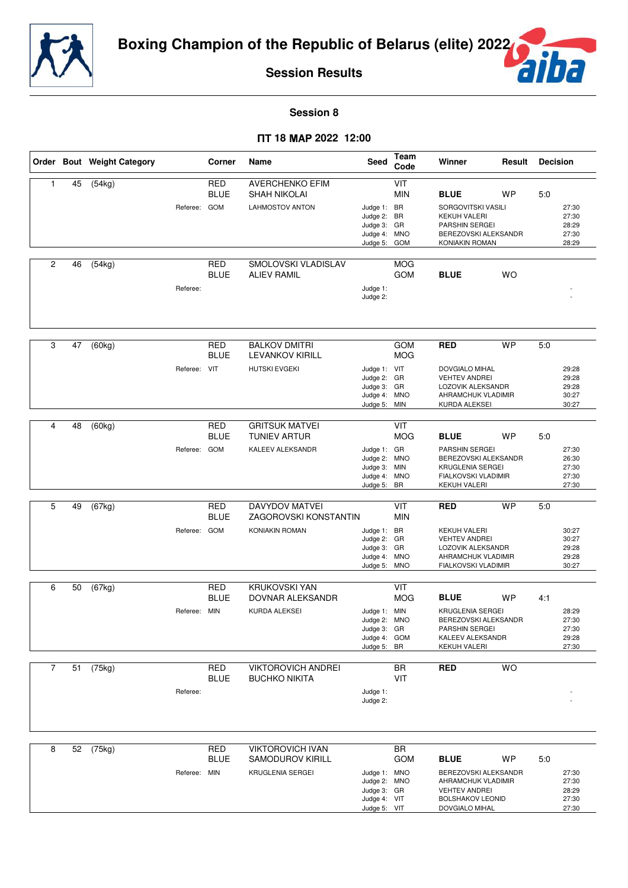



**Session 8**

### - **18 2022 12:00**

|                |    | Order Bout Weight Category |              | Corner                    | Name                                           | Seed                         | Team<br>Code             | Winner                                          | Result    | <b>Decision</b> |                |
|----------------|----|----------------------------|--------------|---------------------------|------------------------------------------------|------------------------------|--------------------------|-------------------------------------------------|-----------|-----------------|----------------|
| 1              | 45 | (54kg)                     |              | <b>RED</b><br><b>BLUE</b> | <b>AVERCHENKO EFIM</b><br><b>SHAH NIKOLAI</b>  |                              | VIT<br><b>MIN</b>        | <b>BLUE</b>                                     | <b>WP</b> | 5:0             |                |
|                |    |                            | Referee: GOM |                           | <b>LAHMOSTOV ANTON</b>                         | Judge 1: BR                  |                          | SORGOVITSKI VASILI                              |           |                 | 27:30          |
|                |    |                            |              |                           |                                                | Judge 2: BR<br>Judge 3: GR   |                          | <b>KEKUH VALERI</b><br>PARSHIN SERGEI           |           |                 | 27:30<br>28:29 |
|                |    |                            |              |                           |                                                | Judge 4: MNO                 |                          | BEREZOVSKI ALEKSANDR<br>KONIAKIN ROMAN          |           |                 | 27:30          |
|                |    |                            |              |                           |                                                | Judge 5:                     | GOM                      |                                                 |           |                 | 28:29          |
| 2              | 46 | (54kg)                     |              | <b>RED</b><br><b>BLUE</b> | SMOLOVSKI VLADISLAV<br><b>ALIEV RAMIL</b>      |                              | <b>MOG</b><br><b>GOM</b> | <b>BLUE</b>                                     | <b>WO</b> |                 |                |
|                |    |                            | Referee:     |                           |                                                | Judge 1:                     |                          |                                                 |           |                 |                |
|                |    |                            |              |                           |                                                | Judge 2:                     |                          |                                                 |           |                 |                |
|                |    |                            |              |                           |                                                |                              |                          |                                                 |           |                 |                |
|                |    |                            |              |                           |                                                |                              |                          |                                                 |           |                 |                |
| 3              | 47 | (60kg)                     |              | <b>RED</b>                | <b>BALKOV DMITRI</b>                           |                              | <b>GOM</b>               | <b>RED</b>                                      | <b>WP</b> | 5.0             |                |
|                |    |                            |              | <b>BLUE</b>               | <b>LEVANKOV KIRILL</b>                         |                              | <b>MOG</b>               |                                                 |           |                 |                |
|                |    |                            | Referee: VIT |                           | <b>HUTSKI EVGEKI</b>                           | Judge 1: VIT<br>Judge 2: GR  |                          | DOVGIALO MIHAL<br><b>VEHTEV ANDREI</b>          |           |                 | 29:28<br>29:28 |
|                |    |                            |              |                           |                                                | Judge 3: GR                  |                          | LOZOVIK ALEKSANDR                               |           |                 | 29:28          |
|                |    |                            |              |                           |                                                | Judge 4: MNO<br>Judge 5: MIN |                          | AHRAMCHUK VLADIMIR<br>KURDA ALEKSEI             |           |                 | 30:27<br>30:27 |
|                |    |                            |              |                           |                                                |                              |                          |                                                 |           |                 |                |
| 4              | 48 | (60kg)                     |              | <b>RED</b>                | <b>GRITSUK MATVEI</b>                          |                              | VIT                      |                                                 |           |                 |                |
|                |    |                            | Referee: GOM | <b>BLUE</b>               | <b>TUNIEV ARTUR</b><br><b>KALEEV ALEKSANDR</b> |                              | <b>MOG</b>               | <b>BLUE</b>                                     | <b>WP</b> | 5:0             |                |
|                |    |                            |              |                           |                                                | Judge 1: GR<br>Judge 2: MNO  |                          | PARSHIN SERGEI<br>BEREZOVSKI ALEKSANDR          |           |                 | 27:30<br>26:30 |
|                |    |                            |              |                           |                                                | Judge 3: MIN<br>Judge 4: MNO |                          | KRUGLENIA SERGEI<br>FIALKOVSKI VLADIMIR         |           |                 | 27:30<br>27:30 |
|                |    |                            |              |                           |                                                | Judge 5: BR                  |                          | <b>KEKUH VALERI</b>                             |           |                 | 27:30          |
| 5              | 49 |                            |              | <b>RED</b>                | <b>DAVYDOV MATVEI</b>                          |                              | VIT                      | <b>RED</b>                                      | <b>WP</b> | 5:0             |                |
|                |    | (67kg)                     |              | <b>BLUE</b>               | ZAGOROVSKI KONSTANTIN                          |                              | <b>MIN</b>               |                                                 |           |                 |                |
|                |    |                            | Referee: GOM |                           | KONIAKIN ROMAN                                 | Judge 1: BR                  |                          | <b>KEKUH VALERI</b>                             |           |                 | 30:27          |
|                |    |                            |              |                           |                                                | Judge 2: GR<br>Judge 3: GR   |                          | <b>VEHTEV ANDREI</b><br>LOZOVIK ALEKSANDR       |           |                 | 30:27<br>29:28 |
|                |    |                            |              |                           |                                                | Judge 4: MNO                 |                          | AHRAMCHUK VLADIMIR                              |           |                 | 29:28          |
|                |    |                            |              |                           |                                                | Judge 5: MNO                 |                          | FIALKOVSKI VLADIMIR                             |           |                 | 30:27          |
| 6              | 50 | (67kg)                     |              | <b>RED</b>                | <b>KRUKOVSKI YAN</b>                           |                              | VIT                      |                                                 |           |                 |                |
|                |    |                            |              | <b>BLUE</b>               | DOVNAR ALEKSANDR                               |                              | <b>MOG</b>               | <b>BLUE</b>                                     | <b>WP</b> | 4:1             |                |
|                |    |                            | Referee: MIN |                           | KURDA ALEKSEI                                  | Judge 1: MIN<br>Judge 2: MNO |                          | <b>KRUGLENIA SERGEI</b><br>BEREZOVSKI ALEKSANDR |           |                 | 28:29<br>27:30 |
|                |    |                            |              |                           |                                                | Judge 3: GR                  |                          | PARSHIN SERGEI                                  |           |                 | 27:30          |
|                |    |                            |              |                           |                                                | Judge 4: GOM<br>Judge 5: BR  |                          | KALEEV ALEKSANDR<br><b>KEKUH VALERI</b>         |           |                 | 29:28<br>27:30 |
|                |    |                            |              |                           |                                                |                              |                          |                                                 |           |                 |                |
| $\overline{7}$ | 51 | (75kg)                     |              | RED                       | <b>VIKTOROVICH ANDREI</b>                      |                              | <b>BR</b>                | <b>RED</b>                                      | <b>WO</b> |                 |                |
|                |    |                            |              | <b>BLUE</b>               | <b>BUCHKO NIKITA</b>                           |                              | VIT                      |                                                 |           |                 |                |
|                |    |                            | Referee:     |                           |                                                | Judge 1:<br>Judge 2:         |                          |                                                 |           |                 |                |
|                |    |                            |              |                           |                                                |                              |                          |                                                 |           |                 |                |
|                |    |                            |              |                           |                                                |                              |                          |                                                 |           |                 |                |
| 8              | 52 | (75kg)                     |              | <b>RED</b>                | <b>VIKTOROVICH IVAN</b>                        |                              | <b>BR</b>                |                                                 |           |                 |                |
|                |    |                            |              | <b>BLUE</b>               | <b>SAMODUROV KIRILL</b>                        |                              | <b>GOM</b>               | <b>BLUE</b>                                     | WP        | 5:0             |                |
|                |    |                            | Referee: MIN |                           | KRUGLENIA SERGEI                               | Judge 1: MNO                 |                          | BEREZOVSKI ALEKSANDR                            |           |                 | 27:30          |
|                |    |                            |              |                           |                                                | Judge 2: MNO<br>Judge 3: GR  |                          | AHRAMCHUK VLADIMIR<br><b>VEHTEV ANDREI</b>      |           |                 | 27:30<br>28:29 |
|                |    |                            |              |                           |                                                | Judge 4: VIT                 |                          | <b>BOLSHAKOV LEONID</b>                         |           |                 | 27:30          |
|                |    |                            |              |                           |                                                | Judge 5: VIT                 |                          | DOVGIALO MIHAL                                  |           |                 | 27:30          |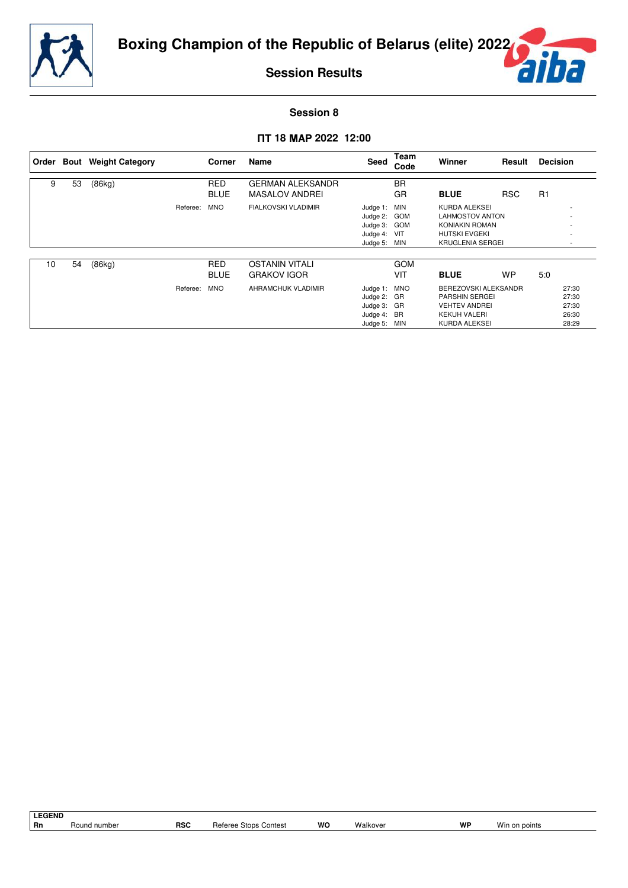

ŕ

**Session Results**

### **Session 8**

### - **18 2022 12:00**

|    |    | Order Bout Weight Category |          | Corner      | Name                       | Seed         | Team<br>Code | Winner                  | Result     | <b>Decision</b> |                          |
|----|----|----------------------------|----------|-------------|----------------------------|--------------|--------------|-------------------------|------------|-----------------|--------------------------|
|    |    |                            |          |             |                            |              |              |                         |            |                 |                          |
| 9  | 53 | (86kg)                     |          | <b>RED</b>  | <b>GERMAN ALEKSANDR</b>    |              | <b>BR</b>    |                         |            |                 |                          |
|    |    |                            |          | <b>BLUE</b> | MASALOV ANDREI             |              | GR           | <b>BLUE</b>             | <b>RSC</b> | R1              |                          |
|    |    |                            | Referee: | <b>MNO</b>  | <b>FIALKOVSKI VLADIMIR</b> | Judge 1:     | MIN          | KURDA ALEKSEI           |            |                 |                          |
|    |    |                            |          |             |                            | Judge 2:     | <b>GOM</b>   | <b>LAHMOSTOV ANTON</b>  |            |                 |                          |
|    |    |                            |          |             |                            | Judge 3:     | <b>GOM</b>   | KONIAKIN ROMAN          |            |                 |                          |
|    |    |                            |          |             |                            | Judge 4:     | VIT          | <b>HUTSKI EVGEKI</b>    |            |                 |                          |
|    |    |                            |          |             |                            | Judge 5:     | MIN          | <b>KRUGLENIA SERGEI</b> |            |                 | $\overline{\phantom{a}}$ |
|    |    |                            |          |             |                            |              |              |                         |            |                 |                          |
| 10 | 54 | (86kg)                     |          | <b>RED</b>  | <b>OSTANIN VITALI</b>      |              | <b>GOM</b>   |                         |            |                 |                          |
|    |    |                            |          | <b>BLUE</b> | <b>GRAKOV IGOR</b>         |              | VIT          | <b>BLUE</b>             | <b>WP</b>  | 5:0             |                          |
|    |    |                            | Referee: | <b>MNO</b>  | AHRAMCHUK VLADIMIR         | Judge 1:     | <b>MNO</b>   | BEREZOVSKI ALEKSANDR    |            |                 | 27:30                    |
|    |    |                            |          |             |                            | Judge 2: GR  |              | <b>PARSHIN SERGEI</b>   |            |                 | 27:30                    |
|    |    |                            |          |             |                            | Judge 3: GR  |              | <b>VEHTEV ANDREI</b>    |            |                 | 27:30                    |
|    |    |                            |          |             |                            | Judge 4: BR  |              | <b>KEKUH VALERI</b>     |            |                 | 26:30                    |
|    |    |                            |          |             |                            | Judge 5: MIN |              | KURDA ALEKSEI           |            |                 | 28:29                    |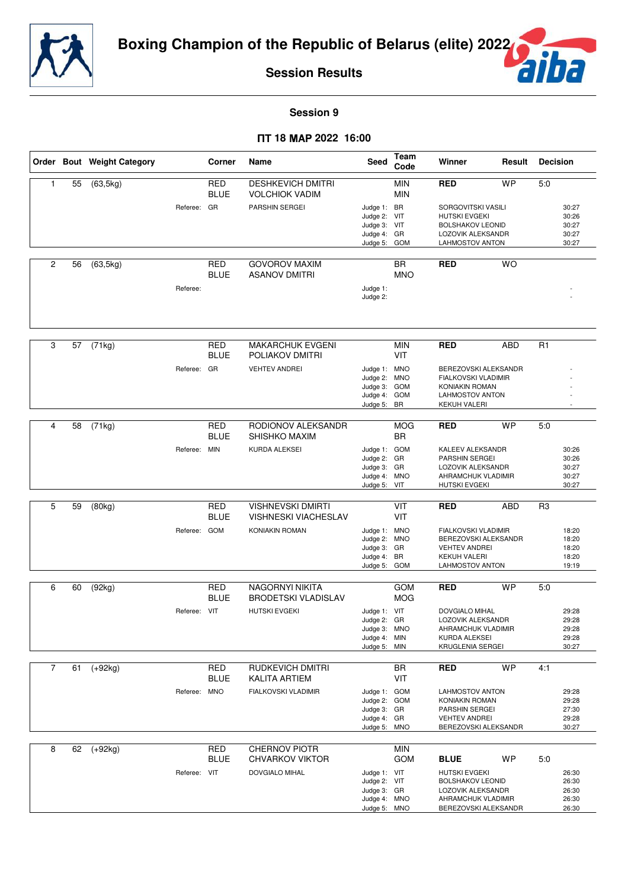



**Session 9**

#### - **18 2022 16:00**

|                |    | Order Bout Weight Category |              | Corner                    | Name                                                    | Seed                                                                        | Team<br>Code                   | Winner                                                                                                                     | Result     | <b>Decision</b> |                                           |
|----------------|----|----------------------------|--------------|---------------------------|---------------------------------------------------------|-----------------------------------------------------------------------------|--------------------------------|----------------------------------------------------------------------------------------------------------------------------|------------|-----------------|-------------------------------------------|
| 1              | 55 | $\overline{(63,5kg)}$      |              | <b>RED</b><br><b>BLUE</b> | <b>DESHKEVICH DMITRI</b><br><b>VOLCHIOK VADIM</b>       |                                                                             | <b>MIN</b><br><b>MIN</b>       | <b>RED</b>                                                                                                                 | <b>WP</b>  | 5:0             |                                           |
|                |    |                            | Referee: GR  |                           | <b>PARSHIN SERGEI</b>                                   | Judge 1: BR<br>Judge 2: VIT<br>Judge 3: VIT<br>Judge 4: GR<br>Judge 5:      | <b>GOM</b>                     | SORGOVITSKI VASILI<br><b>HUTSKI EVGEKI</b><br><b>BOLSHAKOV LEONID</b><br>LOZOVIK ALEKSANDR<br>LAHMOSTOV ANTON              |            |                 | 30:27<br>30:26<br>30:27<br>30:27<br>30:27 |
| 2              | 56 | (63, 5kg)                  |              | <b>RED</b>                | <b>GOVOROV MAXIM</b>                                    |                                                                             | <b>BR</b>                      | <b>RED</b>                                                                                                                 | <b>WO</b>  |                 |                                           |
|                |    |                            | Referee:     | <b>BLUE</b>               | <b>ASANOV DMITRI</b>                                    | Judge 1:<br>Judge 2:                                                        | <b>MNO</b>                     |                                                                                                                            |            |                 |                                           |
|                |    |                            |              |                           |                                                         |                                                                             |                                |                                                                                                                            |            |                 |                                           |
| 3              | 57 | (71kg)                     |              | <b>RED</b><br>BLUE        | <b>MAKARCHUK EVGENI</b><br>POLIAKOV DMITRI              |                                                                             | <b>MIN</b><br><b>VIT</b>       | <b>RED</b>                                                                                                                 | <b>ABD</b> | R <sub>1</sub>  |                                           |
|                |    |                            | Referee: GR  |                           | <b>VEHTEV ANDREI</b>                                    | Judge 1: MNO<br>Judge 2:<br>Judge 3:<br>Judge 4: GOM<br>Judge 5:            | <b>MNO</b><br><b>GOM</b><br>BR | BEREZOVSKI ALEKSANDR<br>FIALKOVSKI VLADIMIR<br><b>KONIAKIN ROMAN</b><br><b>LAHMOSTOV ANTON</b><br><b>KEKUH VALERI</b>      |            |                 | $\overline{a}$                            |
|                |    |                            |              |                           |                                                         |                                                                             |                                |                                                                                                                            |            |                 |                                           |
| 4              | 58 | (71kg)                     |              | <b>RED</b><br><b>BLUE</b> | RODIONOV ALEKSANDR<br>SHISHKO MAXIM                     |                                                                             | <b>MOG</b><br><b>BR</b>        | <b>RED</b>                                                                                                                 | <b>WP</b>  | 5:0             |                                           |
|                |    |                            | Referee: MIN |                           | <b>KURDA ALEKSEI</b>                                    | Judge 1: GOM<br>Judge 2: GR<br>Judge 3: GR<br>Judge 4:<br>Judge 5:          | <b>MNO</b><br>VIT              | KALEEV ALEKSANDR<br>PARSHIN SERGEI<br>LOZOVIK ALEKSANDR<br>AHRAMCHUK VLADIMIR<br><b>HUTSKI EVGEKI</b>                      |            |                 | 30:26<br>30:26<br>30:27<br>30:27<br>30:27 |
|                |    |                            |              |                           |                                                         |                                                                             |                                |                                                                                                                            |            |                 |                                           |
| 5              | 59 | (80kg)                     |              | <b>RED</b><br><b>BLUE</b> | <b>VISHNEVSKI DMIRTI</b><br><b>VISHNESKI VIACHESLAV</b> |                                                                             | VIT<br>VIT                     | <b>RED</b>                                                                                                                 | <b>ABD</b> | R <sub>3</sub>  |                                           |
|                |    |                            | Referee: GOM |                           | KONIAKIN ROMAN                                          | Judge 1: MNO<br>Judge 2:<br>Judge 3: GR<br>Judge 4:<br>Judge 5:             | <b>MNO</b><br>BR<br><b>GOM</b> | FIALKOVSKI VLADIMIR<br>BEREZOVSKI ALEKSANDR<br><b>VEHTEV ANDREI</b><br><b>KEKUH VALERI</b><br>LAHMOSTOV ANTON              |            |                 | 18:20<br>18:20<br>18:20<br>18:20<br>19:19 |
| 6              | 60 | (92kg)                     |              | <b>RED</b>                | NAGORNYI NIKITA                                         |                                                                             | <b>GOM</b>                     | <b>RED</b>                                                                                                                 | <b>WP</b>  | 5:0             |                                           |
|                |    |                            |              | <b>BLUE</b>               | <b>BRODETSKI VLADISLAV</b>                              |                                                                             | <b>MOG</b>                     |                                                                                                                            |            |                 |                                           |
|                |    |                            | Referee: VIT |                           | <b>HUTSKI EVGEKI</b>                                    | Judge 1: VIT<br>Judge 2: GR<br>Judge 3: MNO<br>Judge 4: MIN<br>Judge 5: MIN |                                | <b>DOVGIALO MIHAL</b><br>LOZOVIK ALEKSANDR<br>AHRAMCHUK VLADIMIR<br>KURDA ALEKSEI<br><b>KRUGLENIA SERGEI</b>               |            |                 | 29:28<br>29:28<br>29:28<br>29:28<br>30:27 |
| $\overline{7}$ | 61 | $(+92kg)$                  |              | RED                       | <b>RUDKEVICH DMITRI</b>                                 |                                                                             | BR                             | <b>RED</b>                                                                                                                 | <b>WP</b>  | 4:1             |                                           |
|                |    |                            |              | BLUE                      | <b>KALITA ARTIEM</b>                                    |                                                                             | VIT                            |                                                                                                                            |            |                 |                                           |
|                |    |                            | Referee: MNO |                           | <b>FIALKOVSKI VLADIMIR</b>                              | Judge 1: GOM<br>Judge 2: GOM<br>Judge 3: GR<br>Judge 4: GR<br>Judge 5: MNO  |                                | LAHMOSTOV ANTON<br>KONIAKIN ROMAN<br>PARSHIN SERGEI<br><b>VEHTEV ANDREI</b><br>BEREZOVSKI ALEKSANDR                        |            |                 | 29:28<br>29:28<br>27:30<br>29:28<br>30:27 |
| 8              | 62 | $(+92kg)$                  |              | RED                       | <b>CHERNOV PIOTR</b>                                    |                                                                             | <b>MIN</b>                     |                                                                                                                            |            |                 |                                           |
|                |    |                            | Referee: VIT | <b>BLUE</b>               | <b>CHVARKOV VIKTOR</b><br>DOVGIALO MIHAL                | Judge 1: VIT<br>Judge 2: VIT<br>Judge 3: GR<br>Judge 4: MNO<br>Judge 5:     | GOM<br><b>MNO</b>              | <b>BLUE</b><br>HUTSKI EVGEKI<br><b>BOLSHAKOV LEONID</b><br>LOZOVIK ALEKSANDR<br>AHRAMCHUK VLADIMIR<br>BEREZOVSKI ALEKSANDR | <b>WP</b>  | 5:0             | 26:30<br>26:30<br>26:30<br>26:30<br>26:30 |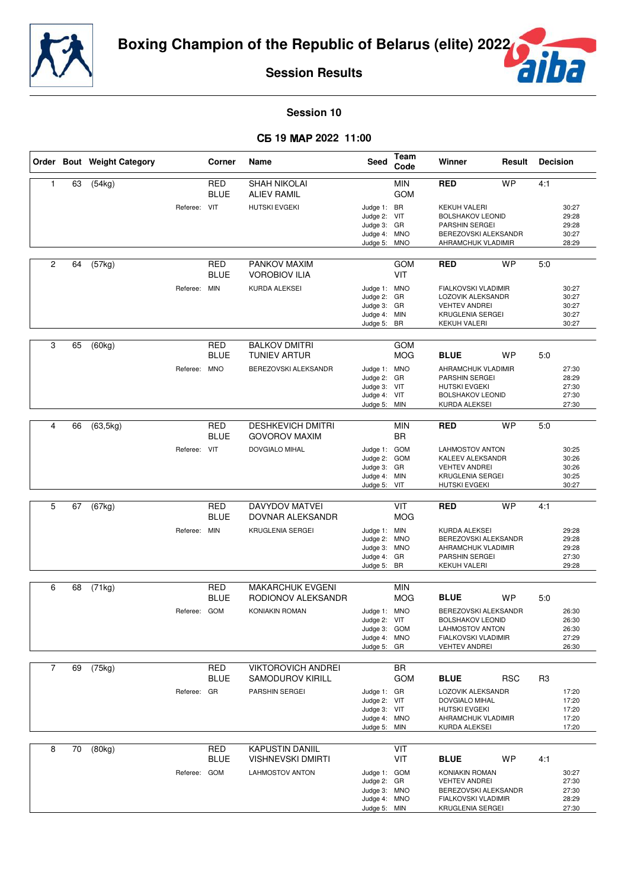



**Session 10**

#### - **19 2022 11:00**

|                |    | Order Bout Weight Category |              | Corner                    | Name                                               | Seed                                                                        | Team<br>Code             | Winner<br>Result                                                                                                                 |            | <b>Decision</b> |                                           |
|----------------|----|----------------------------|--------------|---------------------------|----------------------------------------------------|-----------------------------------------------------------------------------|--------------------------|----------------------------------------------------------------------------------------------------------------------------------|------------|-----------------|-------------------------------------------|
| 1              | 63 | (54kg)                     |              | <b>RED</b><br><b>BLUE</b> | <b>SHAH NIKOLAI</b><br><b>ALIEV RAMIL</b>          |                                                                             | <b>MIN</b><br><b>GOM</b> | <b>RED</b>                                                                                                                       | <b>WP</b>  | 4:1             |                                           |
|                |    |                            | Referee: VIT |                           | <b>HUTSKI EVGEKI</b>                               | Judge 1: BR<br>Judge 2: VIT<br>Judge 3: GR<br>Judge 4: MNO<br>Judge 5:      | <b>MNO</b>               | <b>KEKUH VALERI</b><br><b>BOLSHAKOV LEONID</b><br>PARSHIN SERGEI<br>BEREZOVSKI ALEKSANDR<br>AHRAMCHUK VLADIMIR                   |            |                 | 30:27<br>29:28<br>29:28<br>30:27<br>28:29 |
| $\overline{c}$ | 64 | (57kg)                     |              | RED<br><b>BLUE</b>        | PANKOV MAXIM<br><b>VOROBIOV ILIA</b>               |                                                                             | <b>GOM</b><br>VIT        | <b>RED</b>                                                                                                                       | <b>WP</b>  | 5:0             |                                           |
|                |    |                            | Referee: MIN |                           | KURDA ALEKSEI                                      | Judge 1: MNO<br>Judge 2: GR<br>Judge 3: GR<br>Judge 4: MIN<br>Judge 5: BR   |                          | FIALKOVSKI VLADIMIR<br>LOZOVIK ALEKSANDR<br><b>VEHTEV ANDREI</b><br>KRUGLENIA SERGEI<br>KEKUH VALERI                             |            |                 | 30:27<br>30:27<br>30:27<br>30:27<br>30:27 |
| 3              | 65 | (60kg)                     |              | <b>RED</b><br><b>BLUE</b> | <b>BALKOV DMITRI</b><br>TUNIEV ARTUR               |                                                                             | GOM<br><b>MOG</b>        | <b>BLUE</b>                                                                                                                      | <b>WP</b>  | 5:0             |                                           |
|                |    |                            | Referee: MNO |                           | BEREZOVSKI ALEKSANDR                               | Judge 1: MNO<br>Judge 2: GR<br>Judge 3: VIT<br>Judge 4: VIT<br>Judge 5: MIN |                          | AHRAMCHUK VLADIMIR<br>PARSHIN SERGEI<br><b>HUTSKI EVGEKI</b><br><b>BOLSHAKOV LEONID</b><br>KURDA ALEKSEI                         |            |                 | 27:30<br>28:29<br>27:30<br>27:30<br>27:30 |
| 4              | 66 | (63, 5kg)                  |              | <b>RED</b>                | <b>DESHKEVICH DMITRI</b>                           |                                                                             | <b>MIN</b>               | <b>RED</b>                                                                                                                       | <b>WP</b>  | 5:0             |                                           |
|                |    |                            | Referee: VIT | BLUE                      | <b>GOVOROV MAXIM</b><br><b>DOVGIALO MIHAL</b>      | Judge 1: GOM<br>Judge 2: GOM<br>Judge 3: GR<br>Judge 4: MIN<br>Judge 5: VIT | <b>BR</b>                | <b>LAHMOSTOV ANTON</b><br>KALEEV ALEKSANDR<br><b>VEHTEV ANDREI</b><br>KRUGLENIA SERGEI<br><b>HUTSKI EVGEKI</b>                   |            |                 | 30:25<br>30:26<br>30:26<br>30:25<br>30:27 |
|                |    |                            |              |                           |                                                    |                                                                             |                          |                                                                                                                                  |            |                 |                                           |
| 5              | 67 | (67kg)                     |              | <b>RED</b><br><b>BLUE</b> | <b>DAVYDOV MATVEI</b><br>DOVNAR ALEKSANDR          |                                                                             | VIT<br><b>MOG</b>        | <b>RED</b>                                                                                                                       | <b>WP</b>  | 4:1             |                                           |
|                |    |                            | Referee: MIN |                           | KRUGLENIA SERGEI                                   | Judge 1: MIN<br>Judge 2: MNO<br>Judge 3: MNO<br>Judge 4: GR<br>Judge 5: BR  |                          | KURDA ALEKSEI<br>BEREZOVSKI ALEKSANDR<br>AHRAMCHUK VLADIMIR<br>PARSHIN SERGEI<br><b>KEKUH VALERI</b>                             |            |                 | 29:28<br>29:28<br>29:28<br>27:30<br>29:28 |
| 6              | 68 | (71kg)                     |              | <b>RED</b>                | <b>MAKARCHUK EVGENI</b>                            |                                                                             | <b>MIN</b>               |                                                                                                                                  |            |                 |                                           |
|                |    |                            | Referee: GOM | <b>BLUE</b>               | RODIONOV ALEKSANDR<br><b>KONIAKIN ROMAN</b>        | Judge 1: MNO<br>Judge 2: VIT<br>Judge 3: GOM<br>Judge 4: MNO<br>Judge 5: GR | MOG                      | <b>BLUE</b><br>BEREZOVSKI ALEKSANDR<br><b>BOLSHAKOV LEONID</b><br>LAHMOSTOV ANTON<br>FIALKOVSKI VLADIMIR<br><b>VEHTEV ANDREI</b> | <b>WP</b>  | 5:0             | 26:30<br>26:30<br>26:30<br>27:29<br>26:30 |
| $\overline{7}$ | 69 | (75kg)                     |              | <b>RED</b>                | <b>VIKTOROVICH ANDREI</b>                          |                                                                             | <b>BR</b>                |                                                                                                                                  |            |                 |                                           |
|                |    |                            |              | <b>BLUE</b>               | <b>SAMODUROV KIRILL</b>                            |                                                                             | <b>GOM</b>               | <b>BLUE</b>                                                                                                                      | <b>RSC</b> | R3              |                                           |
|                |    |                            | Referee: GR  |                           | PARSHIN SERGEI                                     | Judge 1: GR<br>Judge 2: VIT<br>Judge 3: VIT<br>Judge 4: MNO<br>Judge 5: MIN |                          | LOZOVIK ALEKSANDR<br>DOVGIALO MIHAL<br><b>HUTSKI EVGEKI</b><br>AHRAMCHUK VLADIMIR<br>KURDA ALEKSEI                               |            |                 | 17:20<br>17:20<br>17:20<br>17:20<br>17:20 |
| 8              | 70 | (80kg)                     |              | <b>RED</b><br><b>BLUE</b> | <b>KAPUSTIN DANIIL</b><br><b>VISHNEVSKI DMIRTI</b> |                                                                             | VIT<br>VIT               | <b>BLUE</b>                                                                                                                      | WP         | 4:1             |                                           |
|                |    |                            | Referee: GOM |                           | <b>LAHMOSTOV ANTON</b>                             | Judge 1: GOM<br>Judge 2: GR<br>Judge 3: MNO<br>Judge 4: MNO<br>Judge 5: MIN |                          | KONIAKIN ROMAN<br><b>VEHTEV ANDREI</b><br>BEREZOVSKI ALEKSANDR<br>FIALKOVSKI VLADIMIR<br>KRUGLENIA SERGEI                        |            |                 | 30:27<br>27:30<br>27:30<br>28:29<br>27:30 |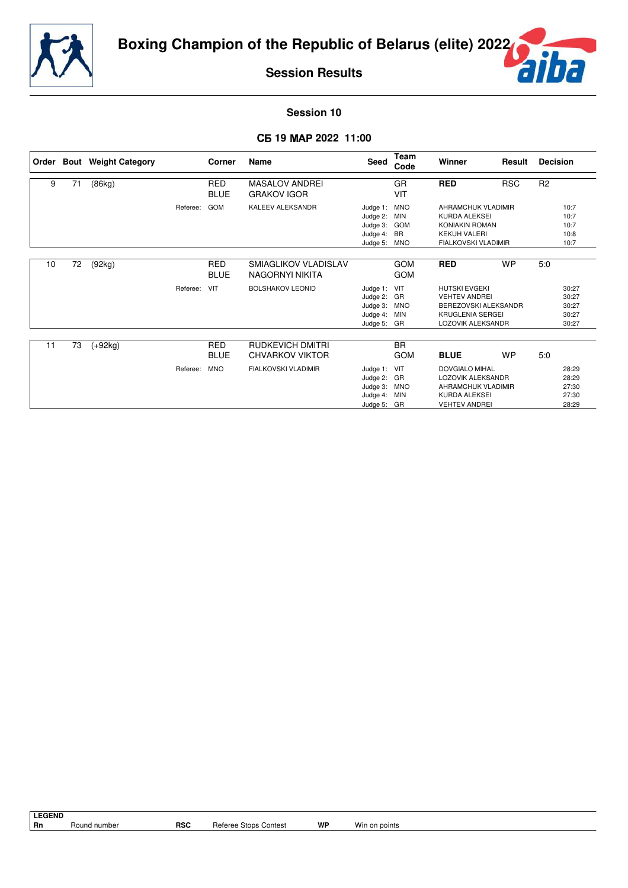



### **Session 10**

### - **19 2022 11:00**

|    |    | Order Bout Weight Category |          | <b>Corner</b>             | Name                                              | Seed                                                                | Team<br>Code                                        | Winner                                                                                                               | Result     | <b>Decision</b> |                                           |
|----|----|----------------------------|----------|---------------------------|---------------------------------------------------|---------------------------------------------------------------------|-----------------------------------------------------|----------------------------------------------------------------------------------------------------------------------|------------|-----------------|-------------------------------------------|
| 9  | 71 | (86kg)                     |          | <b>RED</b><br><b>BLUE</b> | <b>MASALOV ANDREI</b><br><b>GRAKOV IGOR</b>       |                                                                     | <b>GR</b><br>VIT                                    | <b>RED</b>                                                                                                           | <b>RSC</b> | R <sub>2</sub>  |                                           |
|    |    |                            | Referee: | GOM                       | <b>KALEEV ALEKSANDR</b>                           | Judge 1:<br>Judge 2:<br>Judge 3:<br>Judge 4:<br>Judge 5: MNO        | <b>MNO</b><br><b>MIN</b><br><b>GOM</b><br><b>BR</b> | AHRAMCHUK VLADIMIR<br>KURDA ALEKSEI<br><b>KONIAKIN ROMAN</b><br><b>KEKUH VALERI</b><br><b>FIALKOVSKI VLADIMIR</b>    |            |                 | 10:7<br>10:7<br>10:7<br>10:8<br>10:7      |
| 10 | 72 | (92kg)                     |          | RED<br><b>BLUE</b>        | SMIAGLIKOV VLADISLAV<br>NAGORNYI NIKITA           |                                                                     | <b>GOM</b><br><b>GOM</b>                            | <b>RED</b>                                                                                                           | <b>WP</b>  | 5:0             |                                           |
|    |    |                            | Referee: | VIT                       | <b>BOLSHAKOV LEONID</b>                           | Judge 1: VIT<br>Judge 2: GR<br>Judge 3: MNO<br>Judge 4:<br>Judge 5: | <b>MIN</b><br>GR                                    | <b>HUTSKI EVGEKI</b><br><b>VEHTEV ANDREI</b><br>BEREZOVSKI ALEKSANDR<br><b>KRUGLENIA SERGEI</b><br>LOZOVIK ALEKSANDR |            |                 | 30:27<br>30:27<br>30:27<br>30:27<br>30:27 |
| 11 | 73 | $(+92kg)$                  |          | <b>RED</b><br><b>BLUE</b> | <b>RUDKEVICH DMITRI</b><br><b>CHVARKOV VIKTOR</b> |                                                                     | <b>BR</b><br><b>GOM</b>                             | <b>BLUE</b>                                                                                                          | <b>WP</b>  | 5:0             |                                           |
|    |    |                            | Referee: | <b>MNO</b>                | <b>FIALKOVSKI VLADIMIR</b>                        | Judge 1:<br>Judge 2: GR<br>Judge 3:<br>Judge 4:<br>Judge 5: GR      | VIT<br><b>MNO</b><br>MIN                            | DOVGIALO MIHAL<br>LOZOVIK ALEKSANDR<br>AHRAMCHUK VLADIMIR<br><b>KURDA ALEKSEI</b><br><b>VEHTEV ANDREI</b>            |            |                 | 28:29<br>28:29<br>27:30<br>27:30<br>28:29 |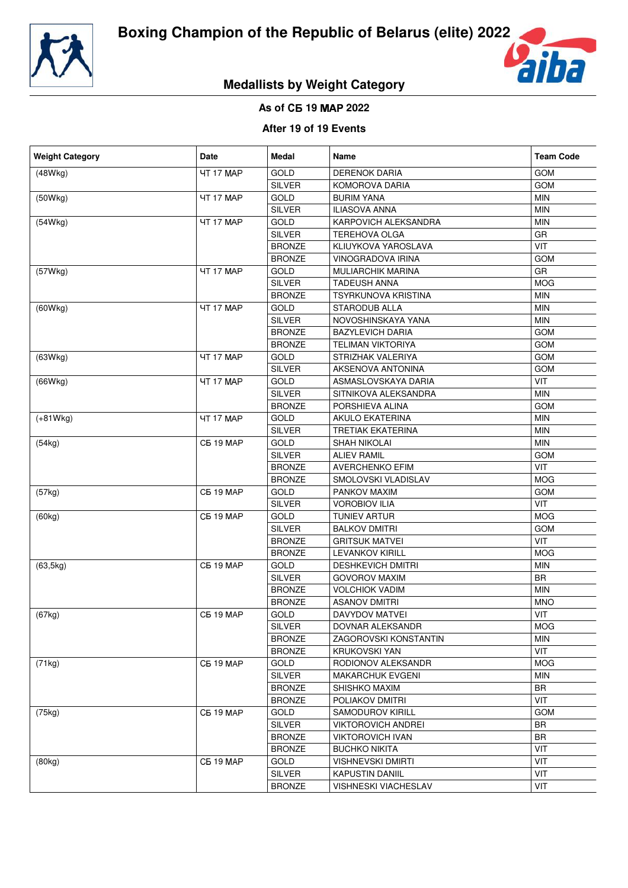



# **Medallists by Weight Category**

## **As of** - **19 2022**

## **After 19 of 19 Events**

| <b>Weight Category</b> | Date             | Medal         | Name                        | <b>Team Code</b> |
|------------------------|------------------|---------------|-----------------------------|------------------|
| (48Wkg)                | <b>4T 17 MAP</b> | <b>GOLD</b>   | <b>DERENOK DARIA</b>        | <b>GOM</b>       |
|                        |                  | <b>SILVER</b> | KOMOROVA DARIA              | GOM              |
| (50Wkg)                | <b>4T 17 MAP</b> | <b>GOLD</b>   | <b>BURIM YANA</b>           | <b>MIN</b>       |
|                        |                  | <b>SILVER</b> | <b>ILIASOVA ANNA</b>        | <b>MIN</b>       |
| (54Wkg)                | <b>4T 17 MAP</b> | <b>GOLD</b>   | KARPOVICH ALEKSANDRA        | <b>MIN</b>       |
|                        |                  | <b>SILVER</b> | <b>TEREHOVA OLGA</b>        | GR               |
|                        |                  | <b>BRONZE</b> | KLIUYKOVA YAROSLAVA         | VIT              |
|                        |                  | <b>BRONZE</b> | VINOGRADOVA IRINA           | <b>GOM</b>       |
| (57Wkg)                | <b>4T 17 MAP</b> | <b>GOLD</b>   | <b>MULIARCHIK MARINA</b>    | GR               |
|                        |                  | <b>SILVER</b> | <b>TADEUSH ANNA</b>         | <b>MOG</b>       |
|                        |                  | <b>BRONZE</b> | TSYRKUNOVA KRISTINA         | <b>MIN</b>       |
| (60Wkg)                | <b>4T 17 MAP</b> | <b>GOLD</b>   | STARODUB ALLA               | <b>MIN</b>       |
|                        |                  | <b>SILVER</b> | NOVOSHINSKAYA YANA          | <b>MIN</b>       |
|                        |                  | <b>BRONZE</b> | <b>BAZYLEVICH DARIA</b>     | GOM              |
|                        |                  | <b>BRONZE</b> | <b>TELIMAN VIKTORIYA</b>    | <b>GOM</b>       |
| (63Wkg)                | <b>4T 17 MAP</b> | GOLD          | STRIZHAK VALERIYA           | GOM              |
|                        |                  | <b>SILVER</b> | AKSENOVA ANTONINA           | GOM              |
| (66Wkg)                | <b>4T 17 MAP</b> | <b>GOLD</b>   | ASMASLOVSKAYA DARIA         | VIT              |
|                        |                  | <b>SILVER</b> | SITNIKOVA ALEKSANDRA        | <b>MIN</b>       |
|                        |                  | <b>BRONZE</b> | PORSHIEVA ALINA             | GOM              |
| $(+81Wkg)$             | <b>4T 17 MAP</b> | <b>GOLD</b>   | <b>AKULO EKATERINA</b>      | <b>MIN</b>       |
|                        |                  | <b>SILVER</b> | <b>TRETIAK EKATERINA</b>    | <b>MIN</b>       |
| (54kg)                 | <b>C5 19 MAP</b> | <b>GOLD</b>   | SHAH NIKOLAI                | <b>MIN</b>       |
|                        |                  | <b>SILVER</b> | <b>ALIEV RAMIL</b>          | <b>GOM</b>       |
|                        |                  | <b>BRONZE</b> | <b>AVERCHENKO EFIM</b>      | VIT              |
|                        |                  | <b>BRONZE</b> | SMOLOVSKI VLADISLAV         | <b>MOG</b>       |
|                        | <b>C5 19 MAP</b> | <b>GOLD</b>   | PANKOV MAXIM                | <b>GOM</b>       |
| (57kg)                 |                  | <b>SILVER</b> | <b>VOROBIOV ILIA</b>        | VIT              |
|                        | <b>CB 19 MAP</b> | <b>GOLD</b>   |                             | <b>MOG</b>       |
| (60kg)                 |                  |               | TUNIEV ARTUR                |                  |
|                        |                  | SILVER        | <b>BALKOV DMITRI</b>        | <b>GOM</b>       |
|                        |                  | <b>BRONZE</b> | <b>GRITSUK MATVEI</b>       | VIT              |
|                        |                  | <b>BRONZE</b> | <b>LEVANKOV KIRILL</b>      | <b>MOG</b>       |
| (63, 5kg)              | CB 19 MAP        | GOLD          | <b>DESHKEVICH DMITRI</b>    | MIN              |
|                        |                  | <b>SILVER</b> | <b>GOVOROV MAXIM</b>        | <b>BR</b>        |
|                        |                  | <b>BRONZE</b> | <b>VOLCHIOK VADIM</b>       | <b>MIN</b>       |
|                        |                  | <b>BRONZE</b> | <b>ASANOV DMITRI</b>        | <b>MNO</b>       |
| (67kg)                 | <b>CB 19 MAP</b> | <b>GOLD</b>   | DAVYDOV MATVEI              | VIT              |
|                        |                  | <b>SILVER</b> | DOVNAR ALEKSANDR            | <b>MOG</b>       |
|                        |                  | <b>BRONZE</b> | ZAGOROVSKI KONSTANTIN       | MIN              |
|                        |                  | <b>BRONZE</b> | <b>KRUKOVSKI YAN</b>        | VIT              |
| (71kg)                 | CB 19 MAP        | GOLD          | RODIONOV ALEKSANDR          | <b>MOG</b>       |
|                        |                  | <b>SILVER</b> | <b>MAKARCHUK EVGENI</b>     | <b>MIN</b>       |
|                        |                  | <b>BRONZE</b> | SHISHKO MAXIM               | <b>BR</b>        |
|                        |                  | <b>BRONZE</b> | POLIAKOV DMITRI             | VIT              |
| (75kg)                 | CB 19 MAP        | GOLD          | <b>SAMODUROV KIRILL</b>     | <b>GOM</b>       |
|                        |                  | <b>SILVER</b> | <b>VIKTOROVICH ANDREI</b>   | <b>BR</b>        |
|                        |                  | <b>BRONZE</b> | <b>VIKTOROVICH IVAN</b>     | BR               |
|                        |                  | <b>BRONZE</b> | <b>BUCHKO NIKITA</b>        | VIT              |
| (80kg)                 | CB 19 MAP        | <b>GOLD</b>   | <b>VISHNEVSKI DMIRTI</b>    | VIT              |
|                        |                  | <b>SILVER</b> | <b>KAPUSTIN DANIIL</b>      | VIT              |
|                        |                  | <b>BRONZE</b> | <b>VISHNESKI VIACHESLAV</b> | VIT              |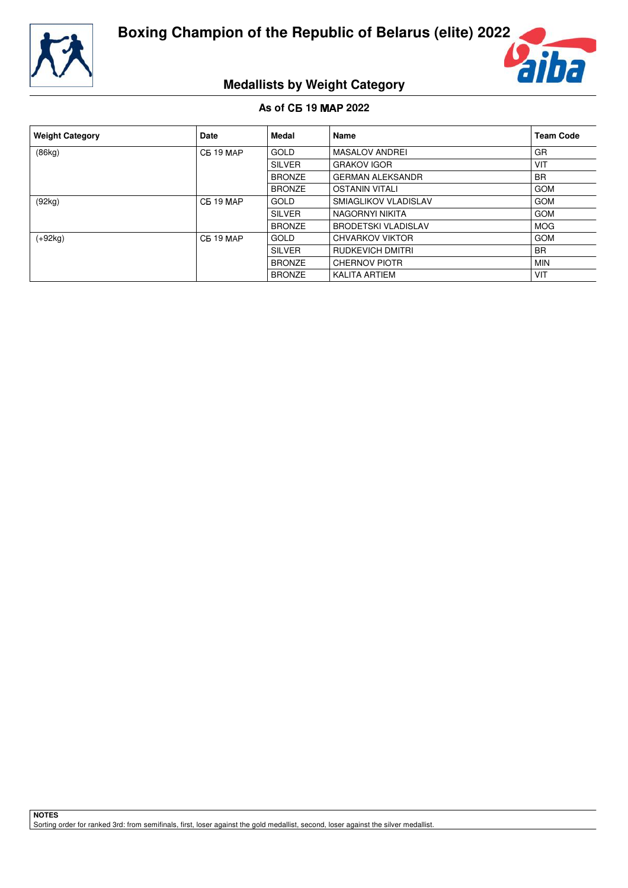



# **Medallists by Weight Category**

## **As of** - **19 2022**

| <b>Weight Category</b> | <b>Date</b>      | Medal         | <b>Name</b>                | <b>Team Code</b> |
|------------------------|------------------|---------------|----------------------------|------------------|
| (86kg)                 | <b>CB 19 MAP</b> | GOLD          | <b>MASALOV ANDREI</b>      | GR               |
|                        |                  | <b>SILVER</b> | <b>GRAKOV IGOR</b>         | VIT              |
|                        |                  | <b>BRONZE</b> | <b>GERMAN ALEKSANDR</b>    | <b>BR</b>        |
|                        |                  | <b>BRONZE</b> | <b>OSTANIN VITALI</b>      | <b>GOM</b>       |
| (92kg)                 | <b>CE 19 MAP</b> | <b>GOLD</b>   | SMIAGLIKOV VLADISLAV       | <b>GOM</b>       |
|                        |                  | <b>SILVER</b> | NAGORNYI NIKITA            | <b>GOM</b>       |
|                        |                  | <b>BRONZE</b> | <b>BRODETSKI VLADISLAV</b> | <b>MOG</b>       |
| $(+92kg)$              | <b>CE 19 MAP</b> | <b>GOLD</b>   | CHVARKOV VIKTOR            | <b>GOM</b>       |
|                        |                  | <b>SILVER</b> | RUDKEVICH DMITRI           | <b>BR</b>        |
|                        |                  | <b>BRONZE</b> | <b>CHERNOV PIOTR</b>       | <b>MIN</b>       |
|                        |                  | <b>BRONZE</b> | <b>KALITA ARTIEM</b>       | VIT              |

**NOTES** Sorting order for ranked 3rd: from semifinals, first, loser against the gold medallist, second, loser against the silver medallist.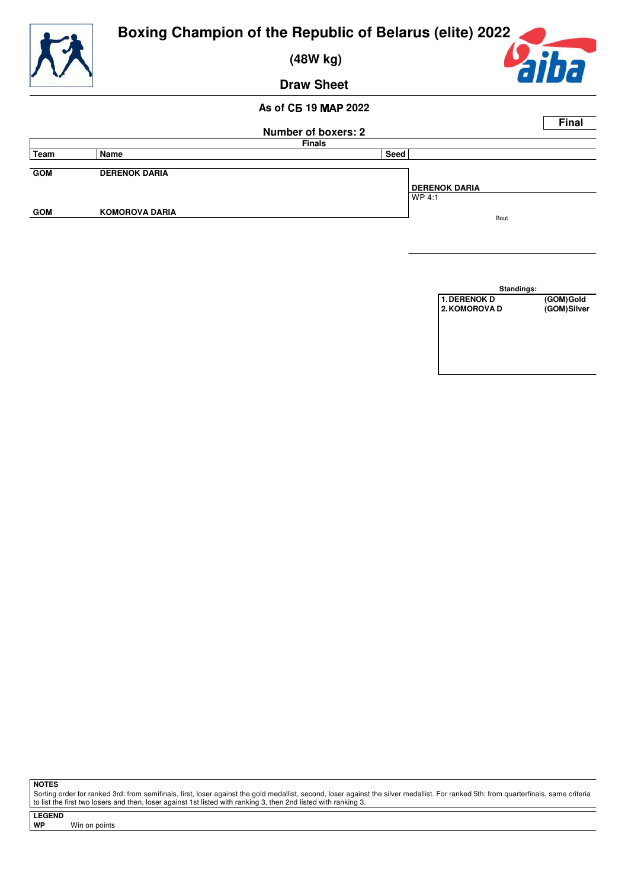

 **(48W kg)**



**Draw Sheet**

## **As of** - **19 2022**

|               |                       | <b>Number of boxers: 2</b> |                      | <b>Final</b> |
|---------------|-----------------------|----------------------------|----------------------|--------------|
| <b>Finals</b> |                       |                            |                      |              |
| Team          | Name                  | Seed                       |                      |              |
| <b>GOM</b>    | <b>DERENOK DARIA</b>  |                            | <b>DERENOK DARIA</b> |              |
| <b>GOM</b>    | <b>KOMOROVA DARIA</b> |                            | l WP 4:1<br>Bout     |              |

| Standings:    |             |
|---------------|-------------|
| 1. DERENOK D  | (GOM)Gold   |
| 2. KOMOROVA D | (GOM)Silver |
|               |             |
|               |             |

**NOTES**

Sorting order for ranked 3rd: from semifinals, first, loser against the gold medallist, second, loser against the silver medallist. For ranked 5th: from quarterfinals, same criteria<br>to list the first two losers and then, l

**LEGEND**

**Win on points**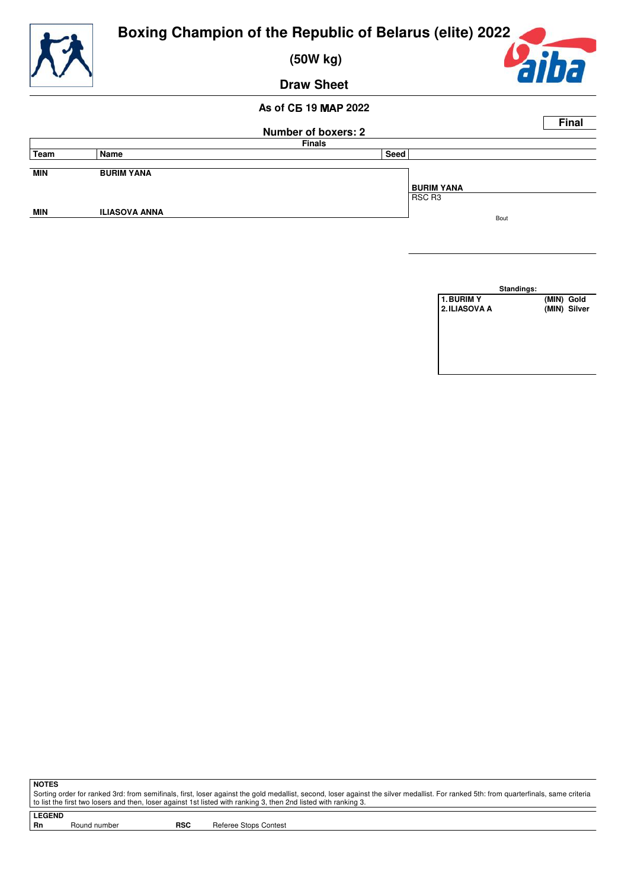

 **(50W kg)**



**Draw Sheet**

## **As of** - **19 2022**

|            |                      |                            |                   | <b>Final</b> |
|------------|----------------------|----------------------------|-------------------|--------------|
|            |                      | <b>Number of boxers: 2</b> |                   |              |
|            |                      | <b>Finals</b>              |                   |              |
| Team       | Name                 | Seed                       |                   |              |
| <b>MIN</b> | <b>BURIM YANA</b>    |                            |                   |              |
|            |                      |                            | <b>BURIM YANA</b> |              |
|            |                      |                            | RSC R3            |              |
| <b>MIN</b> | <b>ILIASOVA ANNA</b> |                            | Bout              |              |
|            |                      |                            |                   |              |

|               | Standings: |              |
|---------------|------------|--------------|
| 1. BURIM Y    |            | (MIN) Gold   |
| 2. ILIASOVA A |            | (MIN) Silver |

**NOTES**

Sorting order for ranked 3rd: from semifinals, first, loser against the gold medallist, second, loser against the silver medallist. For ranked 5th: from quarterfinals, same criteria to list the first two losers and then, loser against 1st listed with ranking 3, then 2nd listed with ranking 3.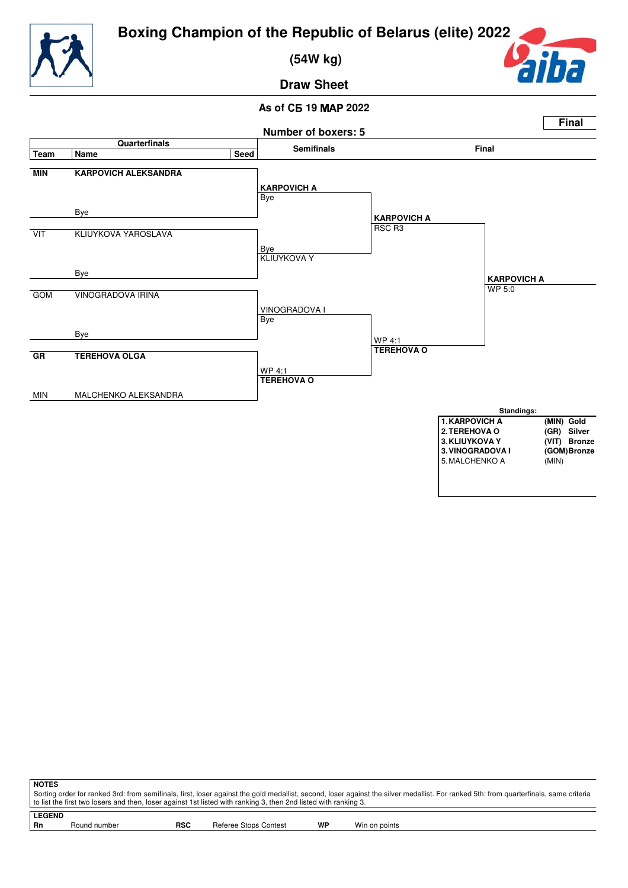



 **(54W kg)**



**Draw Sheet**

## **As of** - **19 2022**



| <b>NOTES</b>  |                                                                                                                                                                                       |            |                       |    |               |  |
|---------------|---------------------------------------------------------------------------------------------------------------------------------------------------------------------------------------|------------|-----------------------|----|---------------|--|
|               | Sorting order for ranked 3rd: from semifinals, first, loser against the gold medallist, second, loser against the silver medallist. For ranked 5th: from quarterfinals, same criteria |            |                       |    |               |  |
|               | l to list the first two losers and then, loser against 1st listed with ranking 3, then 2nd listed with ranking 3.                                                                     |            |                       |    |               |  |
|               |                                                                                                                                                                                       |            |                       |    |               |  |
| <b>LEGEND</b> |                                                                                                                                                                                       |            |                       |    |               |  |
| - Rn          | Round number                                                                                                                                                                          | <b>RSC</b> | Referee Stops Contest | WP | Win on points |  |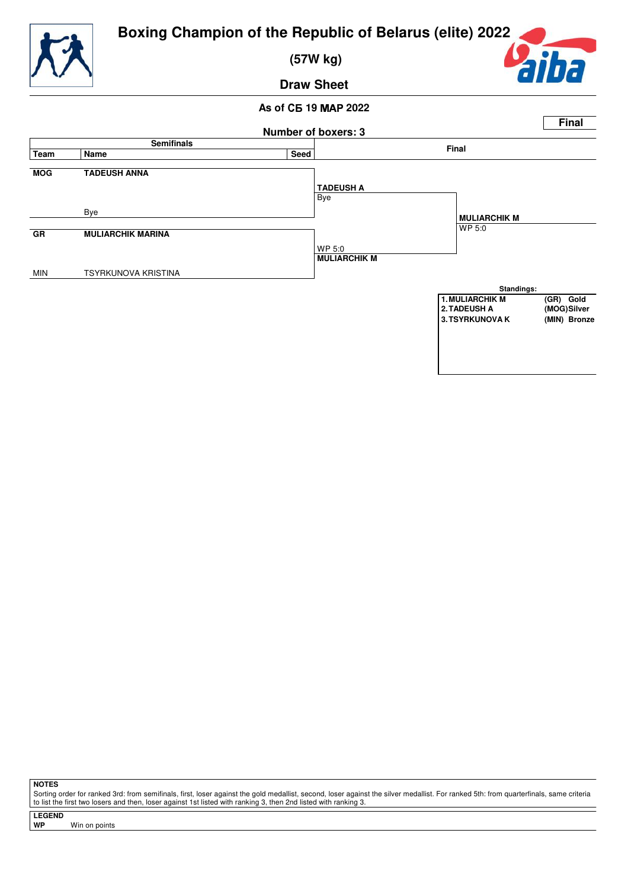

 **(57W kg)**



**Draw Sheet**

## **As of** - **19 2022**



**NOTES**

Sorting order for ranked 3rd: from semifinals, first, loser against the gold medallist, second, loser against the silver medallist. For ranked 5th: from quarterfinals, same criteria to list the first two losers and then, loser against 1st listed with ranking 3, then 2nd listed with ranking 3.

**LEGEND**

**Win on points**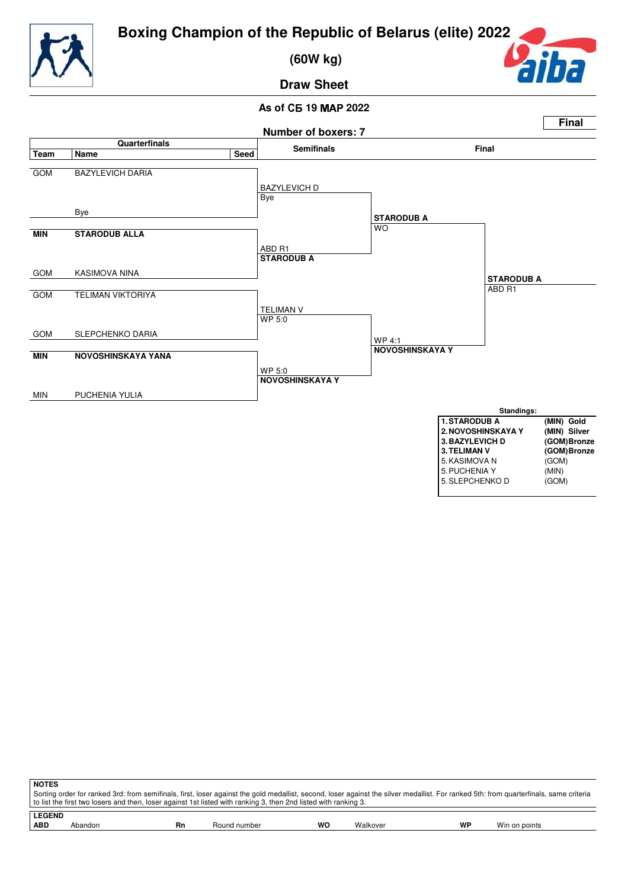



 **(60W kg)**



**Draw Sheet**

## **As of** - **19 2022**



| <b>NOTES</b>                                                                                                                                                                                                                                                                                             |         |    |              |    |          |    |               |  |
|----------------------------------------------------------------------------------------------------------------------------------------------------------------------------------------------------------------------------------------------------------------------------------------------------------|---------|----|--------------|----|----------|----|---------------|--|
| Sorting order for ranked 3rd: from semifinals, first, loser against the gold medallist, second, loser against the silver medallist. For ranked 5th: from quarterfinals, same criteria<br>to list the first two losers and then, loser against 1st listed with ranking 3, then 2nd listed with ranking 3. |         |    |              |    |          |    |               |  |
|                                                                                                                                                                                                                                                                                                          |         |    |              |    |          |    |               |  |
| <b>LEGEND</b>                                                                                                                                                                                                                                                                                            |         |    |              |    |          |    |               |  |
| <b>ABD</b>                                                                                                                                                                                                                                                                                               | Abandon | Rn | Round number | WO | Walkover | WP | Win on points |  |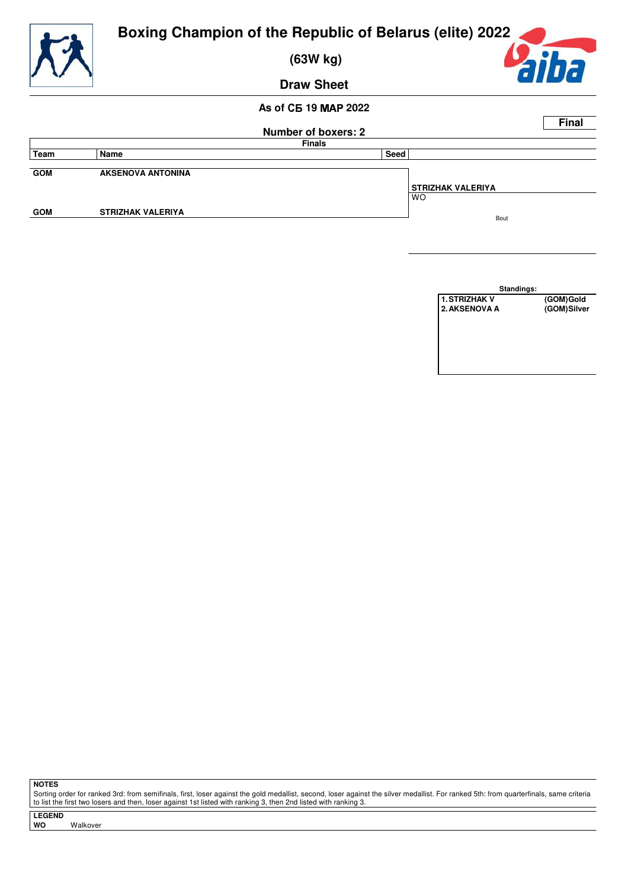

 **(63W kg)**



**Draw Sheet**

## **As of** - **19 2022**

|               |                          | <b>Number of boxers: 2</b> |                          | <b>Final</b> |
|---------------|--------------------------|----------------------------|--------------------------|--------------|
| <b>Finals</b> |                          |                            |                          |              |
| Team          | Name                     | Seed                       |                          |              |
| <b>GOM</b>    | <b>AKSENOVA ANTONINA</b> |                            | <b>STRIZHAK VALERIYA</b> |              |
|               |                          |                            | <b>WO</b>                |              |
| <b>GOM</b>    | <b>STRIZHAK VALERIYA</b> |                            | Bout                     |              |
|               |                          |                            |                          |              |

| Standings:<br>1. STRIZHAK V | (GOM)Gold   |
|-----------------------------|-------------|
|                             |             |
| 2. AKSENOVA A               | (GOM)Silver |

**NOTES**

Sorting order for ranked 3rd: from semifinals, first, loser against the gold medallist, second, loser against the silver medallist. For ranked 5th: from quarterfinals, same criteria<br>to list the first two losers and then, l

**LEGEND Walkover**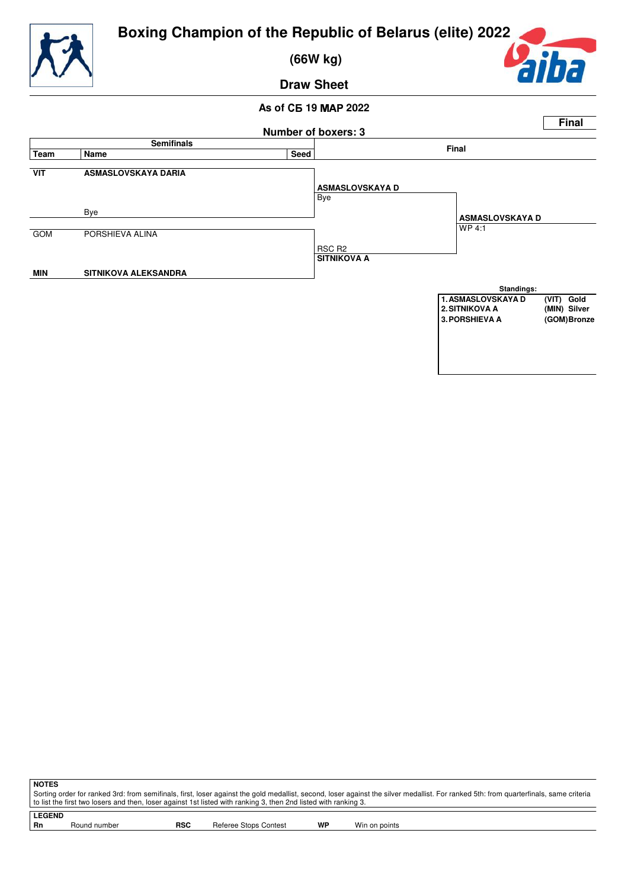

 **(66W kg)**



**Draw Sheet**

## **As of** - **19 2022**



**NOTES** Sorting order for ranked 3rd: from semifinals, first, loser against the gold medallist, second, loser against the silver medallist. For ranked 5th: from quarterfinals, same criteria to list the first two losers and then, loser against 1st listed with ranking 3, then 2nd listed with ranking 3.

**LEGEND** Round number **RSC** Referee Stops Contest **WP** Win on points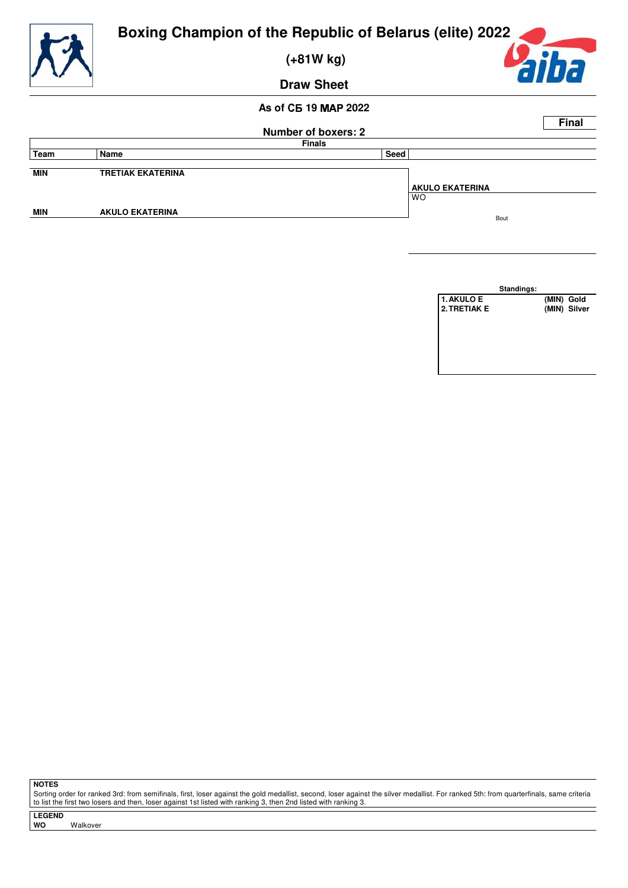

 **(+81W kg)**



**Draw Sheet**

## **As of** - **19 2022**

|            |                          |                            | <b>Final</b>           |
|------------|--------------------------|----------------------------|------------------------|
|            |                          | <b>Number of boxers: 2</b> |                        |
|            |                          | <b>Finals</b>              |                        |
| Team       | Name                     | Seed                       |                        |
|            |                          |                            |                        |
| <b>MIN</b> | <b>TRETIAK EKATERINA</b> |                            |                        |
|            |                          |                            | <b>AKULO EKATERINA</b> |
|            |                          |                            | <b>WO</b>              |
| <b>MIN</b> | <b>AKULO EKATERINA</b>   |                            |                        |
|            |                          |                            | Bout                   |
|            |                          |                            |                        |



**NOTES**

Sorting order for ranked 3rd: from semifinals, first, loser against the gold medallist, second, loser against the silver medallist. For ranked 5th: from quarterfinals, same criteria to list the first two losers and then, loser against 1st listed with ranking 3, then 2nd listed with ranking 3.

**LEGEND Walkover**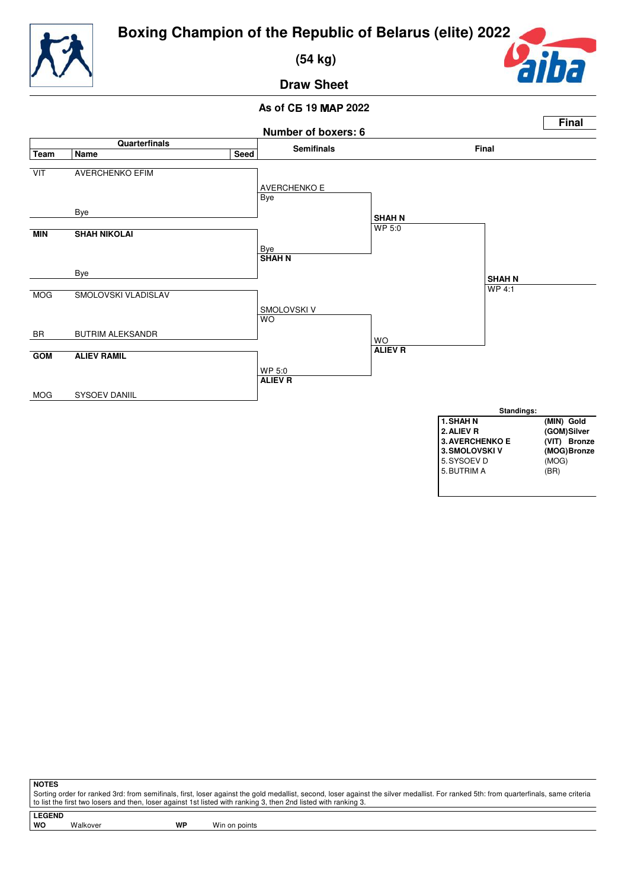

 **(54 kg)**



**Draw Sheet**

## **As of** - **19 2022**



**NOTES**

Sorting order for ranked 3rd: from semifinals, first, loser against the gold medallist, second, loser against the silver medallist. For ranked 5th: from quarterfinals, same criteria to list the first two losers and then, loser against 1st listed with ranking 3, then 2nd listed with ranking 3.

**LEGEND**

Walkover **WP** Win on points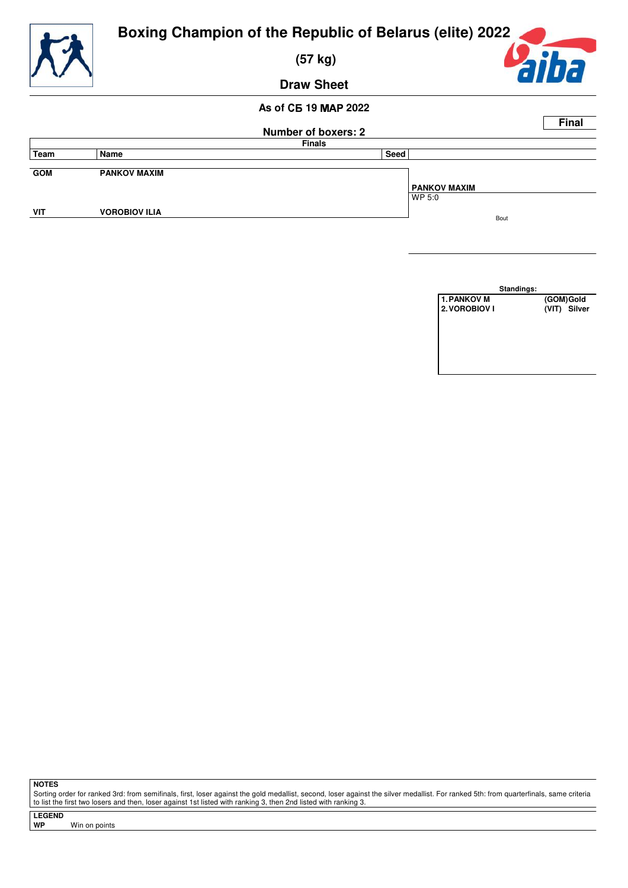

 **(57 kg)**



**Draw Sheet**

## **As of** - **19 2022**

|               |                      |                            | <b>Final</b> |  |
|---------------|----------------------|----------------------------|--------------|--|
|               |                      | <b>Number of boxers: 2</b> |              |  |
| <b>Finals</b> |                      |                            |              |  |
| Team          | Name                 | Seed                       |              |  |
|               |                      |                            |              |  |
| <b>GOM</b>    | <b>PANKOV MAXIM</b>  |                            |              |  |
|               |                      |                            | PANKOV MAXIM |  |
|               |                      |                            | WP 5:0       |  |
| VIT           | <b>VOROBIOV ILIA</b> |                            |              |  |
|               |                      |                            | Bout         |  |



**NOTES**

Sorting order for ranked 3rd: from semifinals, first, loser against the gold medallist, second, loser against the silver medallist. For ranked 5th: from quarterfinals, same criteria to list the first two losers and then, loser against 1st listed with ranking 3, then 2nd listed with ranking 3.

**LEGEND**

**Win on points**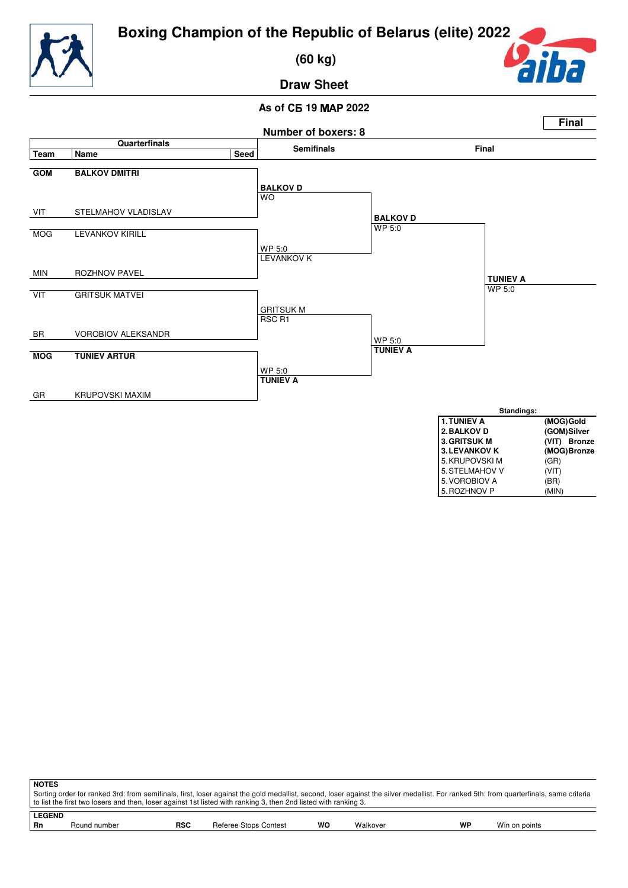

 **(60 kg)**



**Draw Sheet**

## **As of** - **19 2022**



| ∣ NOTES       |                                                                                                                                                                                       |     |                       |    |          |    |               |  |  |  |
|---------------|---------------------------------------------------------------------------------------------------------------------------------------------------------------------------------------|-----|-----------------------|----|----------|----|---------------|--|--|--|
|               | Sorting order for ranked 3rd: from semifinals, first, loser against the gold medallist, second, loser against the silver medallist. For ranked 5th: from quarterfinals, same criteria |     |                       |    |          |    |               |  |  |  |
|               | to list the first two losers and then, loser against 1st listed with ranking 3, then 2nd listed with ranking 3.                                                                       |     |                       |    |          |    |               |  |  |  |
| <b>LEGEND</b> |                                                                                                                                                                                       |     |                       |    |          |    |               |  |  |  |
| l Rn          | Round number                                                                                                                                                                          | RSC | Referee Stops Contest | WO | Walkover | WP | Win on points |  |  |  |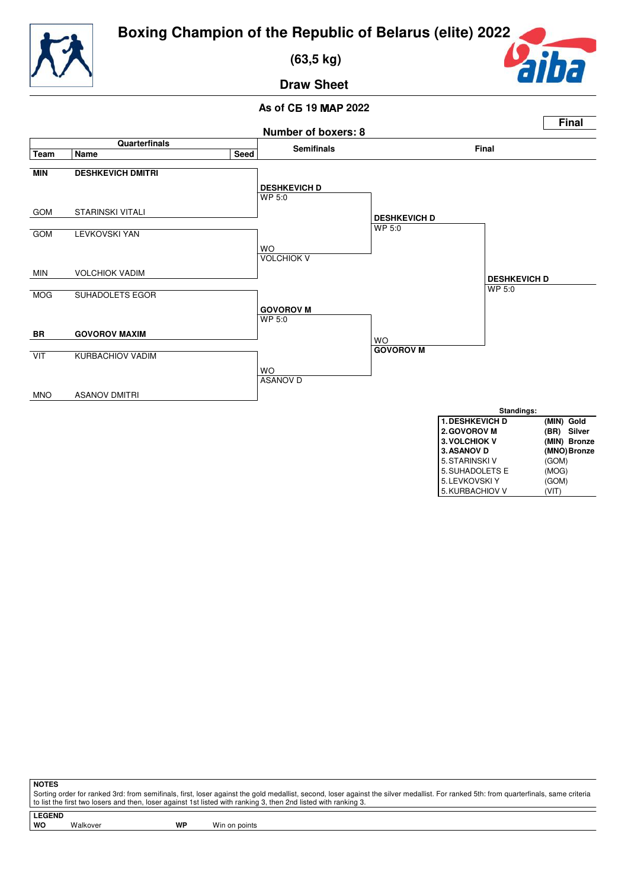



 **(63,5 kg)**



**Draw Sheet**

## **As of** - **19 2022**



**NOTES**

Sorting order for ranked 3rd: from semifinals, first, loser against the gold medallist, second, loser against the silver medallist. For ranked 5th: from quarterfinals, same criteria to list the first two losers and then, loser against 1st listed with ranking 3, then 2nd listed with ranking 3.

**LEGEND**

Walkover **WP** Win on points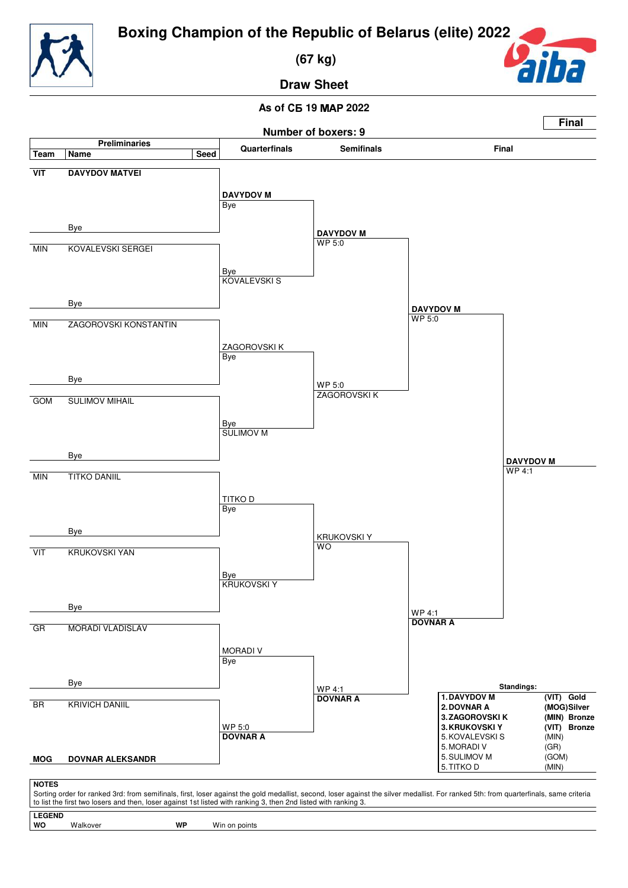

 **(67 kg)**



**Draw Sheet**

## **As of** - **19 2022**



Walkover **WP** Win on points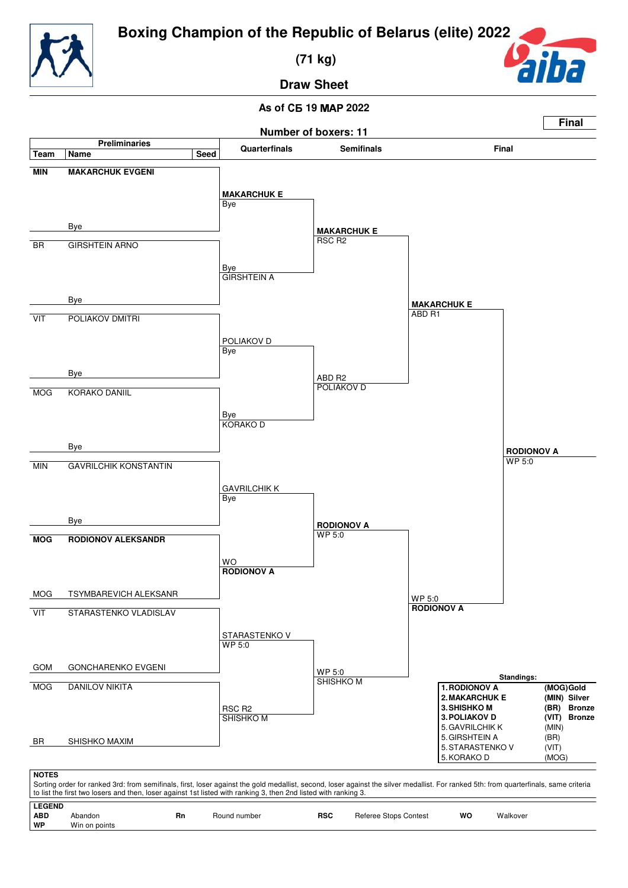

 **(71 kg)**



**Draw Sheet**

## **As of** - **19 2022**

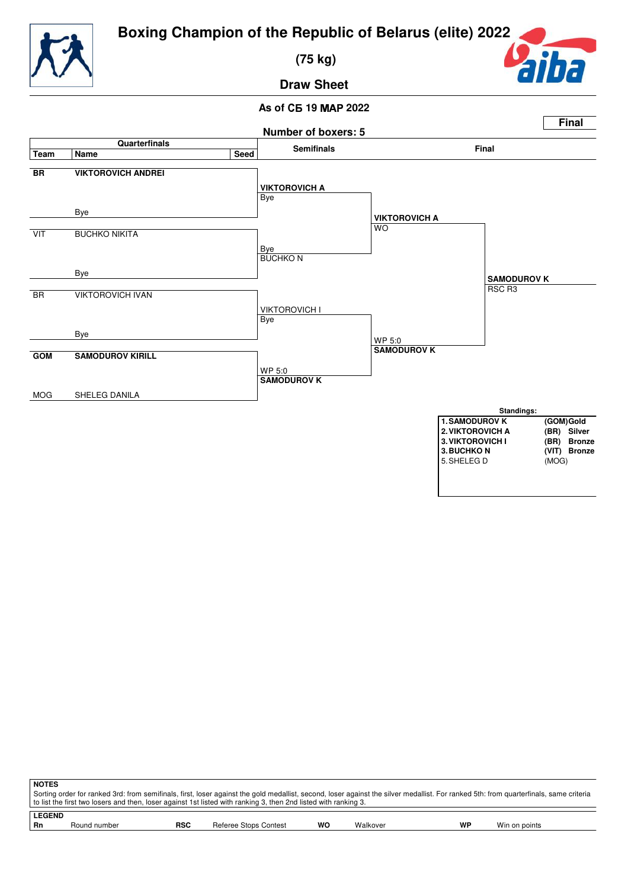

 **(75 kg)**



**Draw Sheet**

## **As of** - **19 2022**



| <b>NOTES</b>                                                                                                                                                                          |              |            |                       |    |          |           |               |  |  |
|---------------------------------------------------------------------------------------------------------------------------------------------------------------------------------------|--------------|------------|-----------------------|----|----------|-----------|---------------|--|--|
| Sorting order for ranked 3rd: from semifinals, first, loser against the gold medallist, second, loser against the silver medallist. For ranked 5th: from quarterfinals, same criteria |              |            |                       |    |          |           |               |  |  |
| to list the first two losers and then, loser against 1st listed with ranking 3, then 2nd listed with ranking 3.                                                                       |              |            |                       |    |          |           |               |  |  |
| <b>LEGEND</b>                                                                                                                                                                         |              |            |                       |    |          |           |               |  |  |
| Rn                                                                                                                                                                                    | Round number | <b>RSC</b> | Referee Stops Contest | wo | Walkover | <b>WP</b> | Win on points |  |  |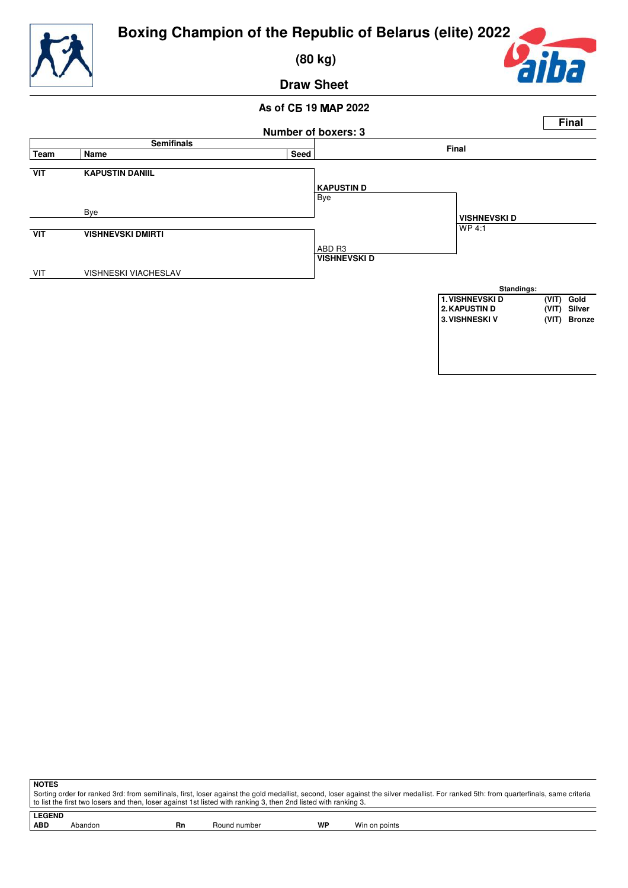

 **(80 kg)**



**Draw Sheet**

## **As of** - **19 2022**



**NOTES** Sorting order for ranked 3rd: from semifinals, first, loser against the gold medallist, second, loser against the silver medallist. For ranked 5th: from quarterfinals, same criteria to list the first two losers and then, loser against 1st listed with ranking 3, then 2nd listed with ranking 3.

**LEGEND**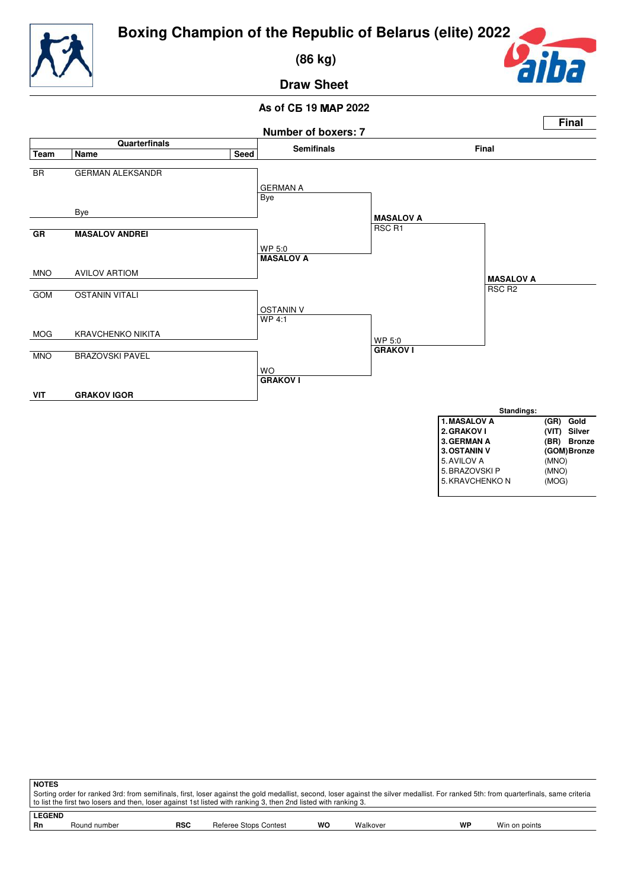

 **(86 kg)**



**Draw Sheet**

## **As of** - **19 2022**



| <b>NOTES</b>                                                                                                                                                                          |                                                                                                                  |            |                       |    |          |    |               |  |  |
|---------------------------------------------------------------------------------------------------------------------------------------------------------------------------------------|------------------------------------------------------------------------------------------------------------------|------------|-----------------------|----|----------|----|---------------|--|--|
| Sorting order for ranked 3rd: from semifinals, first, loser against the gold medallist, second, loser against the silver medallist. For ranked 5th: from quarterfinals, same criteria |                                                                                                                  |            |                       |    |          |    |               |  |  |
|                                                                                                                                                                                       | t o list the first two losers and then, loser against 1st listed with ranking 3, then 2nd listed with ranking 3. |            |                       |    |          |    |               |  |  |
| <b>LEGEND</b>                                                                                                                                                                         |                                                                                                                  |            |                       |    |          |    |               |  |  |
| <b>Rn</b>                                                                                                                                                                             | Round number                                                                                                     | <b>RSC</b> | Referee Stops Contest | wo | Walkover | WP | Win on points |  |  |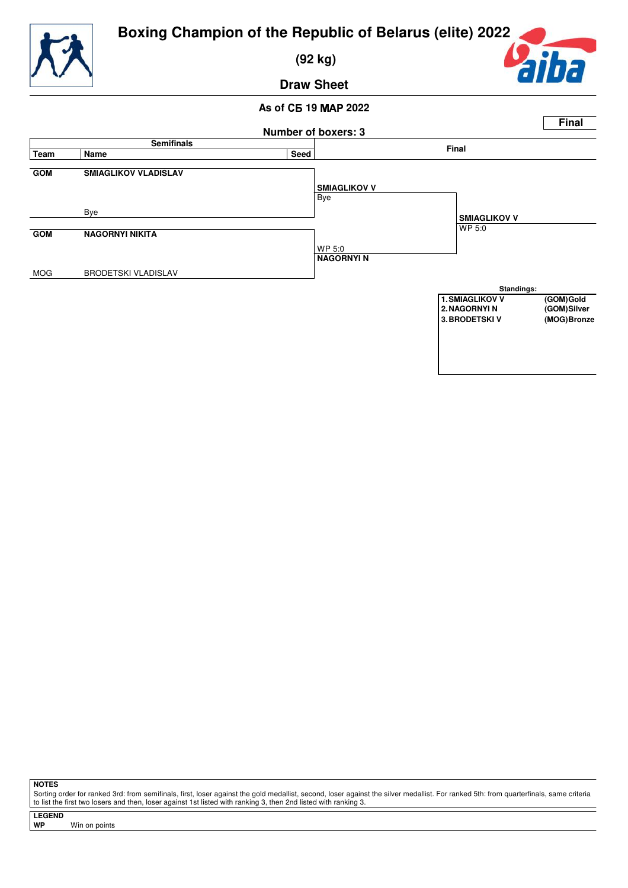

 **(92 kg)**

ה

**Draw Sheet**

## **As of** - **19 2022**



**NOTES**

Sorting order for ranked 3rd: from semifinals, first, loser against the gold medallist, second, loser against the silver medallist. For ranked 5th: from quarterfinals, same criteria to list the first two losers and then, loser against 1st listed with ranking 3, then 2nd listed with ranking 3.

**LEGEND**

**Win on points**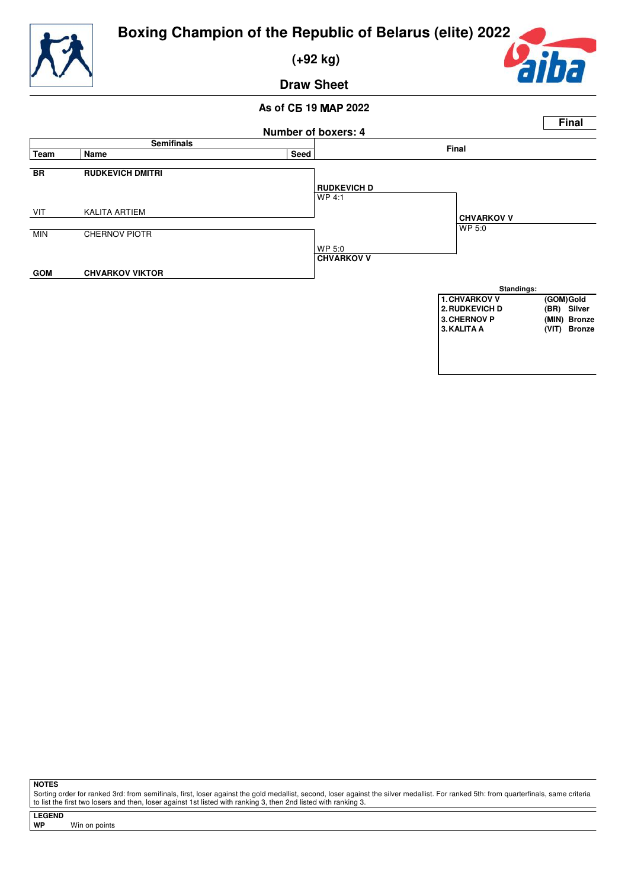

 **(+92 kg)**



**Draw Sheet**

## **As of** - **19 2022**



**NOTES**

Sorting order for ranked 3rd: from semifinals, first, loser against the gold medallist, second, loser against the silver medallist. For ranked 5th: from quarterfinals, same criteria to list the first two losers and then, loser against 1st listed with ranking 3, then 2nd listed with ranking 3.

**LEGEND**

**Win on points**